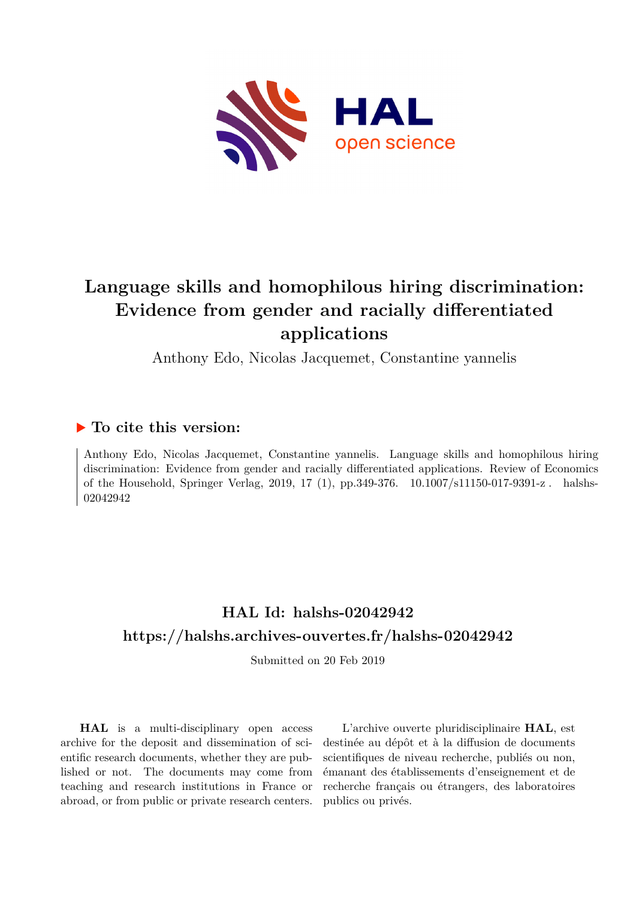

# **Language skills and homophilous hiring discrimination: Evidence from gender and racially differentiated applications**

Anthony Edo, Nicolas Jacquemet, Constantine yannelis

## **To cite this version:**

Anthony Edo, Nicolas Jacquemet, Constantine yannelis. Language skills and homophilous hiring discrimination: Evidence from gender and racially differentiated applications. Review of Economics of the Household, Springer Verlag, 2019, 17 (1), pp.349-376.  $10.1007/s11150-017-9391-z$ . halshs-02042942

# **HAL Id: halshs-02042942 <https://halshs.archives-ouvertes.fr/halshs-02042942>**

Submitted on 20 Feb 2019

**HAL** is a multi-disciplinary open access archive for the deposit and dissemination of scientific research documents, whether they are published or not. The documents may come from teaching and research institutions in France or abroad, or from public or private research centers.

L'archive ouverte pluridisciplinaire **HAL**, est destinée au dépôt et à la diffusion de documents scientifiques de niveau recherche, publiés ou non, émanant des établissements d'enseignement et de recherche français ou étrangers, des laboratoires publics ou privés.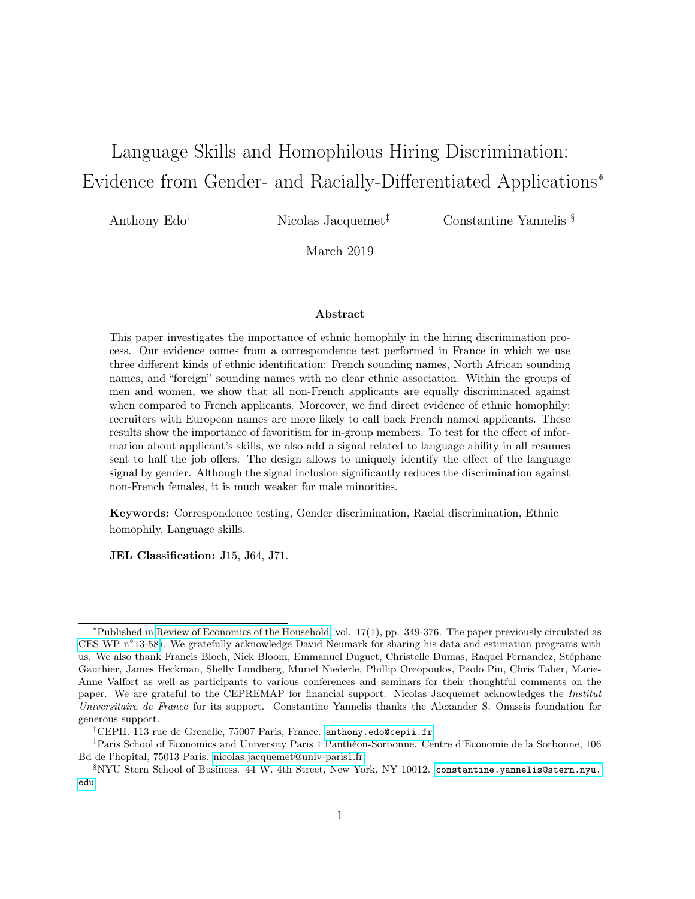# Language Skills and Homophilous Hiring Discrimination: Evidence from Gender- and Racially-Differentiated Applications<sup>∗</sup>

Anthony Edo<sup>†</sup> Nicolas Jacquemet<sup>‡</sup> Constantine Yannelis <sup>§</sup>

March 2019

#### Abstract

This paper investigates the importance of ethnic homophily in the hiring discrimination process. Our evidence comes from a correspondence test performed in France in which we use three different kinds of ethnic identification: French sounding names, North African sounding names, and "foreign" sounding names with no clear ethnic association. Within the groups of men and women, we show that all non-French applicants are equally discriminated against when compared to French applicants. Moreover, we find direct evidence of ethnic homophily: recruiters with European names are more likely to call back French named applicants. These results show the importance of favoritism for in-group members. To test for the effect of information about applicant's skills, we also add a signal related to language ability in all resumes sent to half the job offers. The design allows to uniquely identify the effect of the language signal by gender. Although the signal inclusion significantly reduces the discrimination against non-French females, it is much weaker for male minorities.

Keywords: Correspondence testing, Gender discrimination, Racial discrimination, Ethnic homophily, Language skills.

JEL Classification: J15, J64, J71.

<sup>∗</sup>Published in [Review of Economics of the Household,](https://link.springer.com/article/10.1007/s11150-017-9391-z) vol. 17(1), pp. 349-376. The paper previously circulated as [CES WP n](http://ideas.repec.org/p/hal/cesptp/halshs-00877458.html)◦ 13-58). We gratefully acknowledge David Neumark for sharing his data and estimation programs with us. We also thank Francis Bloch, Nick Bloom, Emmanuel Duguet, Christelle Dumas, Raquel Fernandez, Stéphane Gauthier, James Heckman, Shelly Lundberg, Muriel Niederle, Phillip Oreopoulos, Paolo Pin, Chris Taber, Marie-Anne Valfort as well as participants to various conferences and seminars for their thoughtful comments on the paper. We are grateful to the CEPREMAP for financial support. Nicolas Jacquemet acknowledges the Institut Universitaire de France for its support. Constantine Yannelis thanks the Alexander S. Onassis foundation for generous support.

<sup>†</sup>CEPII. 113 rue de Grenelle, 75007 Paris, France. <anthony.edo@cepii.fr>.

<sup>‡</sup>Paris School of Economics and University Paris 1 Panthéon-Sorbonne. Centre d'Economie de la Sorbonne, 106 Bd de l'hopital, 75013 Paris. [nicolas.jacquemet@univ-paris1.fr](mailto:nicolas.jacquemet@univ-paris1.fr)

<sup>§</sup>NYU Stern School of Business. 44 W. 4th Street, New York, NY 10012. [constantine.yannelis@stern.nyu.](constantine.yannelis@stern.nyu.edu) [edu](constantine.yannelis@stern.nyu.edu).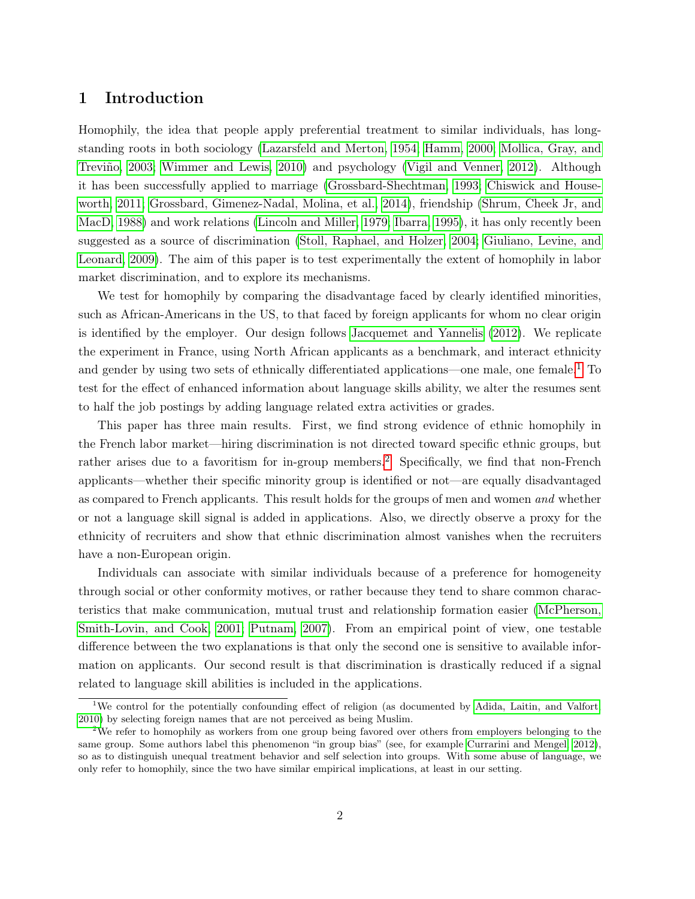## 1 Introduction

Homophily, the idea that people apply preferential treatment to similar individuals, has longstanding roots in both sociology (Lazarsfeld and Merton, 1954; Hamm, 2000; Mollica, Gray, and Treviño, 2003; Wimmer and Lewis, 2010) and psychology (Vigil and Venner, 2012). Although it has been successfully applied to marriage (Grossbard-Shechtman, 1993; Chiswick and Houseworth, 2011; Grossbard, Gimenez-Nadal, Molina, et al., 2014), friendship (Shrum, Cheek Jr, and MacD, 1988) and work relations (Lincoln and Miller, 1979; Ibarra, 1995), it has only recently been suggested as a source of discrimination (Stoll, Raphael, and Holzer, 2004; Giuliano, Levine, and Leonard, 2009). The aim of this paper is to test experimentally the extent of homophily in labor market discrimination, and to explore its mechanisms.

We test for homophily by comparing the disadvantage faced by clearly identified minorities, such as African-Americans in the US, to that faced by foreign applicants for whom no clear origin is identified by the employer. Our design follows Jacquemet and Yannelis (2012). We replicate the experiment in France, using North African applicants as a benchmark, and interact ethnicity and gender by using two sets of ethnically differentiated applications—one male, one female.<sup>1</sup> To test for the effect of enhanced information about language skills ability, we alter the resumes sent to half the job postings by adding language related extra activities or grades.

This paper has three main results. First, we find strong evidence of ethnic homophily in the French labor market—hiring discrimination is not directed toward specific ethnic groups, but rather arises due to a favoritism for in-group members.<sup>2</sup> Specifically, we find that non-French applicants—whether their specific minority group is identified or not—are equally disadvantaged as compared to French applicants. This result holds for the groups of men and women and whether or not a language skill signal is added in applications. Also, we directly observe a proxy for the ethnicity of recruiters and show that ethnic discrimination almost vanishes when the recruiters have a non-European origin.

Individuals can associate with similar individuals because of a preference for homogeneity through social or other conformity motives, or rather because they tend to share common characteristics that make communication, mutual trust and relationship formation easier (McPherson, Smith-Lovin, and Cook, 2001; Putnam, 2007). From an empirical point of view, one testable difference between the two explanations is that only the second one is sensitive to available information on applicants. Our second result is that discrimination is drastically reduced if a signal related to language skill abilities is included in the applications.

<sup>&</sup>lt;sup>1</sup>We control for the potentially confounding effect of religion (as documented by Adida, Laitin, and Valfort, 2010) by selecting foreign names that are not perceived as being Muslim.

<sup>&</sup>lt;sup>2</sup>We refer to homophily as workers from one group being favored over others from employers belonging to the same group. Some authors label this phenomenon "in group bias" (see, for example Currarini and Mengel, 2012), so as to distinguish unequal treatment behavior and self selection into groups. With some abuse of language, we only refer to homophily, since the two have similar empirical implications, at least in our setting.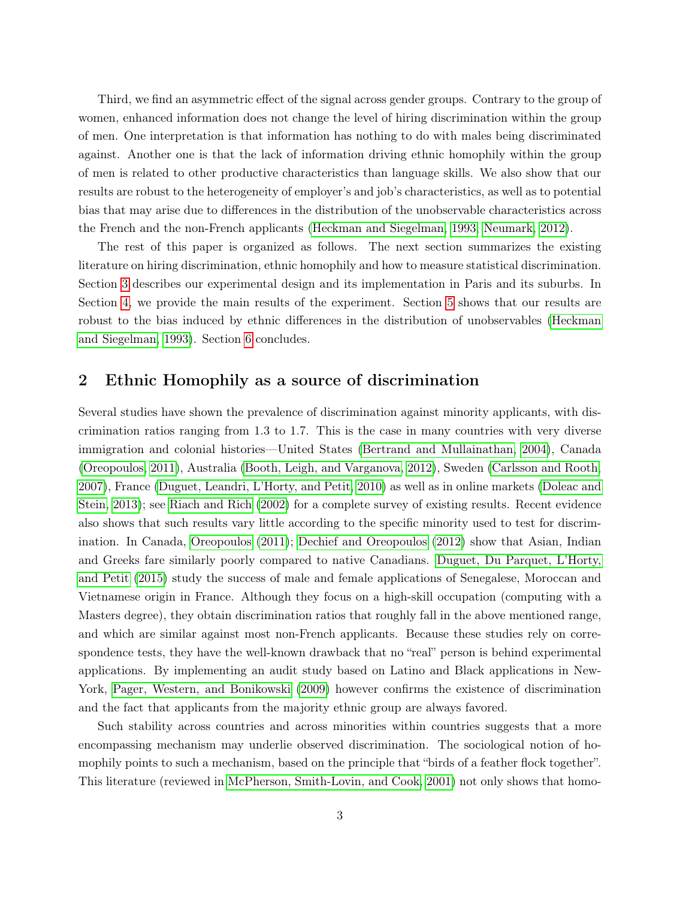Third, we find an asymmetric effect of the signal across gender groups. Contrary to the group of women, enhanced information does not change the level of hiring discrimination within the group of men. One interpretation is that information has nothing to do with males being discriminated against. Another one is that the lack of information driving ethnic homophily within the group of men is related to other productive characteristics than language skills. We also show that our results are robust to the heterogeneity of employer's and job's characteristics, as well as to potential bias that may arise due to differences in the distribution of the unobservable characteristics across the French and the non-French applicants (Heckman and Siegelman, 1993; Neumark, 2012).

The rest of this paper is organized as follows. The next section summarizes the existing literature on hiring discrimination, ethnic homophily and how to measure statistical discrimination. Section 3 describes our experimental design and its implementation in Paris and its suburbs. In Section 4, we provide the main results of the experiment. Section 5 shows that our results are robust to the bias induced by ethnic differences in the distribution of unobservables (Heckman and Siegelman, 1993). Section 6 concludes.

## 2 Ethnic Homophily as a source of discrimination

Several studies have shown the prevalence of discrimination against minority applicants, with discrimination ratios ranging from 1.3 to 1.7. This is the case in many countries with very diverse immigration and colonial histories—United States (Bertrand and Mullainathan, 2004), Canada (Oreopoulos, 2011), Australia (Booth, Leigh, and Varganova, 2012), Sweden (Carlsson and Rooth, 2007), France (Duguet, Leandri, L'Horty, and Petit, 2010) as well as in online markets (Doleac and Stein, 2013); see Riach and Rich (2002) for a complete survey of existing results. Recent evidence also shows that such results vary little according to the specific minority used to test for discrimination. In Canada, Oreopoulos (2011); Dechief and Oreopoulos (2012) show that Asian, Indian and Greeks fare similarly poorly compared to native Canadians. Duguet, Du Parquet, L'Horty, and Petit (2015) study the success of male and female applications of Senegalese, Moroccan and Vietnamese origin in France. Although they focus on a high-skill occupation (computing with a Masters degree), they obtain discrimination ratios that roughly fall in the above mentioned range, and which are similar against most non-French applicants. Because these studies rely on correspondence tests, they have the well-known drawback that no "real" person is behind experimental applications. By implementing an audit study based on Latino and Black applications in New-York, Pager, Western, and Bonikowski (2009) however confirms the existence of discrimination and the fact that applicants from the majority ethnic group are always favored.

Such stability across countries and across minorities within countries suggests that a more encompassing mechanism may underlie observed discrimination. The sociological notion of homophily points to such a mechanism, based on the principle that "birds of a feather flock together". This literature (reviewed in McPherson, Smith-Lovin, and Cook, 2001) not only shows that homo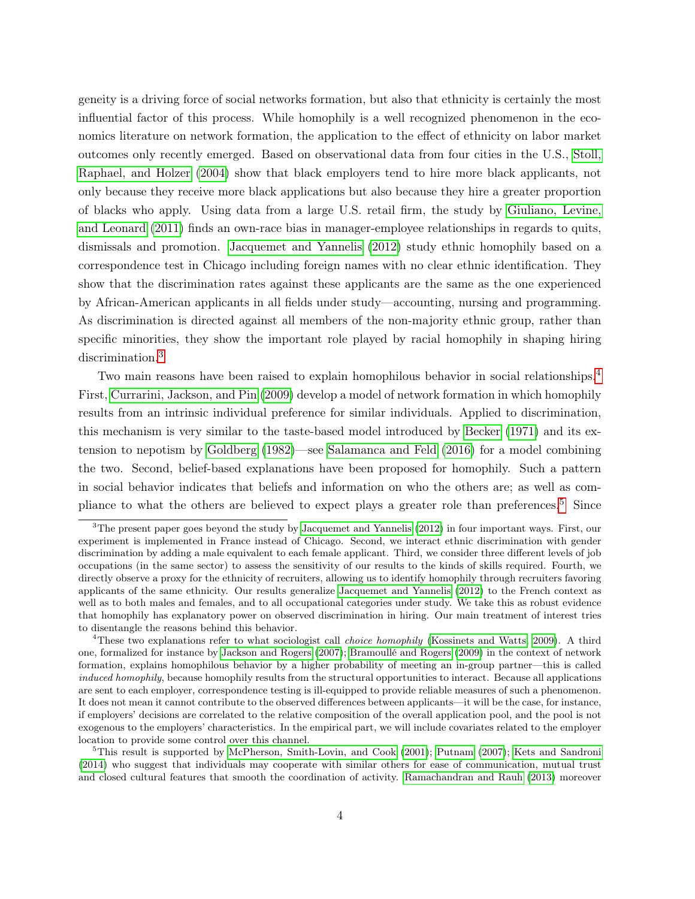geneity is a driving force of social networks formation, but also that ethnicity is certainly the most influential factor of this process. While homophily is a well recognized phenomenon in the economics literature on network formation, the application to the effect of ethnicity on labor market outcomes only recently emerged. Based on observational data from four cities in the U.S., Stoll, Raphael, and Holzer (2004) show that black employers tend to hire more black applicants, not only because they receive more black applications but also because they hire a greater proportion of blacks who apply. Using data from a large U.S. retail firm, the study by Giuliano, Levine, and Leonard (2011) finds an own-race bias in manager-employee relationships in regards to quits, dismissals and promotion. Jacquemet and Yannelis (2012) study ethnic homophily based on a correspondence test in Chicago including foreign names with no clear ethnic identification. They show that the discrimination rates against these applicants are the same as the one experienced by African-American applicants in all fields under study—accounting, nursing and programming. As discrimination is directed against all members of the non-majority ethnic group, rather than specific minorities, they show the important role played by racial homophily in shaping hiring discrimination.<sup>3</sup>

Two main reasons have been raised to explain homophilous behavior in social relationships.4 First, Currarini, Jackson, and Pin (2009) develop a model of network formation in which homophily results from an intrinsic individual preference for similar individuals. Applied to discrimination, this mechanism is very similar to the taste-based model introduced by Becker (1971) and its extension to nepotism by Goldberg (1982)—see Salamanca and Feld (2016) for a model combining the two. Second, belief-based explanations have been proposed for homophily. Such a pattern in social behavior indicates that beliefs and information on who the others are; as well as compliance to what the others are believed to expect plays a greater role than preferences.<sup>5</sup> Since

<sup>5</sup>This result is supported by McPherson, Smith-Lovin, and Cook (2001); Putnam (2007); Kets and Sandroni (2014) who suggest that individuals may cooperate with similar others for ease of communication, mutual trust and closed cultural features that smooth the coordination of activity. Ramachandran and Rauh (2013) moreover

 $3$ The present paper goes beyond the study by Jacquemet and Yannelis (2012) in four important ways. First, our experiment is implemented in France instead of Chicago. Second, we interact ethnic discrimination with gender discrimination by adding a male equivalent to each female applicant. Third, we consider three different levels of job occupations (in the same sector) to assess the sensitivity of our results to the kinds of skills required. Fourth, we directly observe a proxy for the ethnicity of recruiters, allowing us to identify homophily through recruiters favoring applicants of the same ethnicity. Our results generalize Jacquemet and Yannelis (2012) to the French context as well as to both males and females, and to all occupational categories under study. We take this as robust evidence that homophily has explanatory power on observed discrimination in hiring. Our main treatment of interest tries to disentangle the reasons behind this behavior.

<sup>&</sup>lt;sup>4</sup>These two explanations refer to what sociologist call *choice homophily* (Kossinets and Watts, 2009). A third one, formalized for instance by Jackson and Rogers (2007); Bramoullé and Rogers (2009) in the context of network formation, explains homophilous behavior by a higher probability of meeting an in-group partner—this is called induced homophily, because homophily results from the structural opportunities to interact. Because all applications are sent to each employer, correspondence testing is ill-equipped to provide reliable measures of such a phenomenon. It does not mean it cannot contribute to the observed differences between applicants—it will be the case, for instance, if employers' decisions are correlated to the relative composition of the overall application pool, and the pool is not exogenous to the employers' characteristics. In the empirical part, we will include covariates related to the employer location to provide some control over this channel.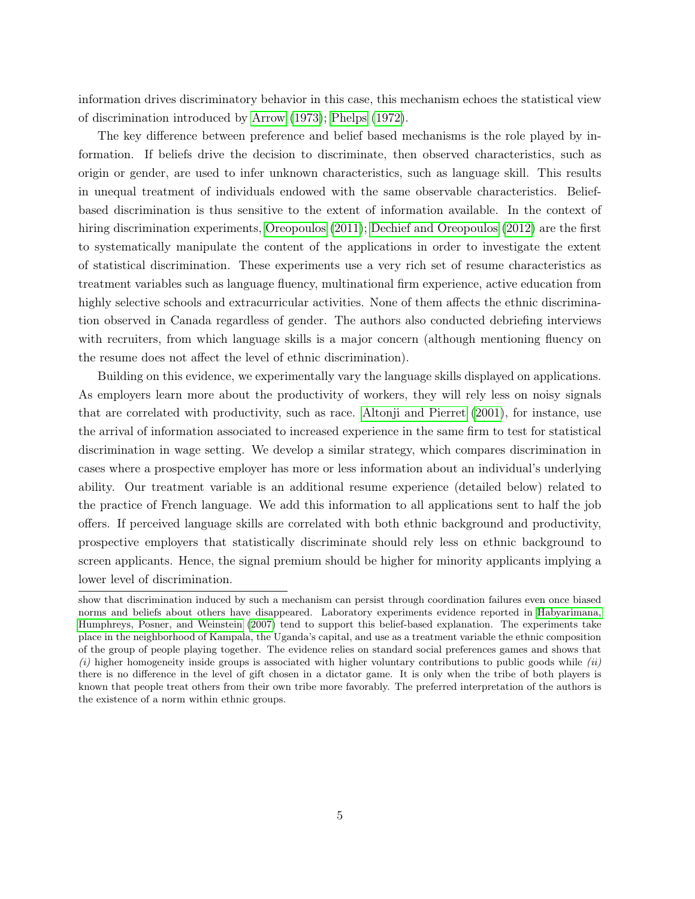information drives discriminatory behavior in this case, this mechanism echoes the statistical view of discrimination introduced by Arrow (1973); Phelps (1972).

The key difference between preference and belief based mechanisms is the role played by information. If beliefs drive the decision to discriminate, then observed characteristics, such as origin or gender, are used to infer unknown characteristics, such as language skill. This results in unequal treatment of individuals endowed with the same observable characteristics. Beliefbased discrimination is thus sensitive to the extent of information available. In the context of hiring discrimination experiments, Oreopoulos (2011); Dechief and Oreopoulos (2012) are the first to systematically manipulate the content of the applications in order to investigate the extent of statistical discrimination. These experiments use a very rich set of resume characteristics as treatment variables such as language fluency, multinational firm experience, active education from highly selective schools and extracurricular activities. None of them affects the ethnic discrimination observed in Canada regardless of gender. The authors also conducted debriefing interviews with recruiters, from which language skills is a major concern (although mentioning fluency on the resume does not affect the level of ethnic discrimination).

Building on this evidence, we experimentally vary the language skills displayed on applications. As employers learn more about the productivity of workers, they will rely less on noisy signals that are correlated with productivity, such as race. Altonji and Pierret (2001), for instance, use the arrival of information associated to increased experience in the same firm to test for statistical discrimination in wage setting. We develop a similar strategy, which compares discrimination in cases where a prospective employer has more or less information about an individual's underlying ability. Our treatment variable is an additional resume experience (detailed below) related to the practice of French language. We add this information to all applications sent to half the job offers. If perceived language skills are correlated with both ethnic background and productivity, prospective employers that statistically discriminate should rely less on ethnic background to screen applicants. Hence, the signal premium should be higher for minority applicants implying a lower level of discrimination.

show that discrimination induced by such a mechanism can persist through coordination failures even once biased norms and beliefs about others have disappeared. Laboratory experiments evidence reported in Habyarimana, Humphreys, Posner, and Weinstein (2007) tend to support this belief-based explanation. The experiments take place in the neighborhood of Kampala, the Uganda's capital, and use as a treatment variable the ethnic composition of the group of people playing together. The evidence relies on standard social preferences games and shows that (i) higher homogeneity inside groups is associated with higher voluntary contributions to public goods while  $(ii)$ there is no difference in the level of gift chosen in a dictator game. It is only when the tribe of both players is known that people treat others from their own tribe more favorably. The preferred interpretation of the authors is the existence of a norm within ethnic groups.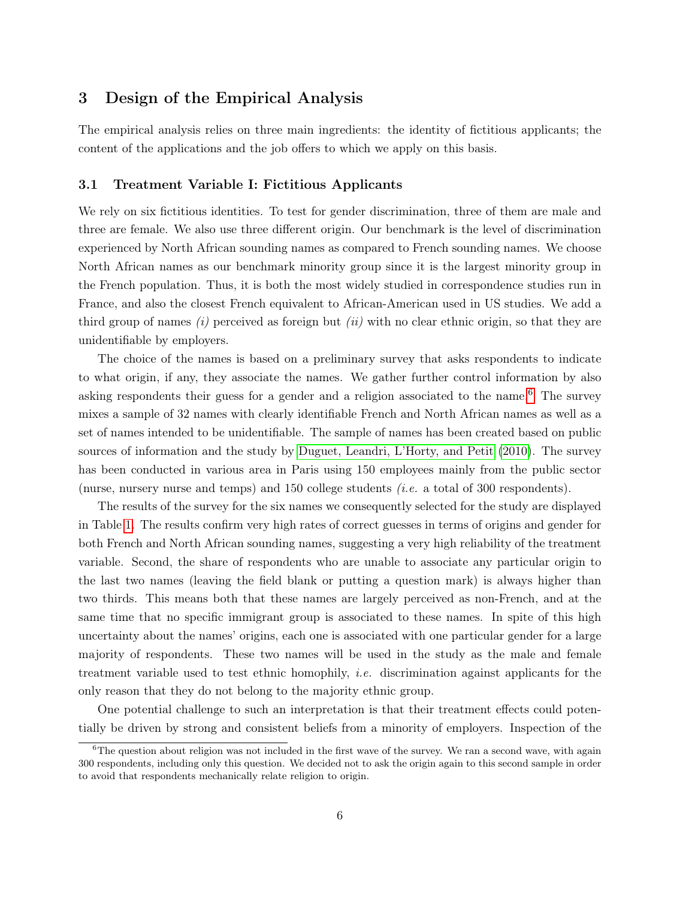## 3 Design of the Empirical Analysis

The empirical analysis relies on three main ingredients: the identity of fictitious applicants; the content of the applications and the job offers to which we apply on this basis.

### 3.1 Treatment Variable I: Fictitious Applicants

We rely on six fictitious identities. To test for gender discrimination, three of them are male and three are female. We also use three different origin. Our benchmark is the level of discrimination experienced by North African sounding names as compared to French sounding names. We choose North African names as our benchmark minority group since it is the largest minority group in the French population. Thus, it is both the most widely studied in correspondence studies run in France, and also the closest French equivalent to African-American used in US studies. We add a third group of names (i) perceived as foreign but (ii) with no clear ethnic origin, so that they are unidentifiable by employers.

The choice of the names is based on a preliminary survey that asks respondents to indicate to what origin, if any, they associate the names. We gather further control information by also asking respondents their guess for a gender and a religion associated to the name.<sup>6</sup> The survey mixes a sample of 32 names with clearly identifiable French and North African names as well as a set of names intended to be unidentifiable. The sample of names has been created based on public sources of information and the study by Duguet, Leandri, L'Horty, and Petit (2010). The survey has been conducted in various area in Paris using 150 employees mainly from the public sector (nurse, nursery nurse and temps) and 150 college students (i.e. a total of 300 respondents).

The results of the survey for the six names we consequently selected for the study are displayed in Table 1. The results confirm very high rates of correct guesses in terms of origins and gender for both French and North African sounding names, suggesting a very high reliability of the treatment variable. Second, the share of respondents who are unable to associate any particular origin to the last two names (leaving the field blank or putting a question mark) is always higher than two thirds. This means both that these names are largely perceived as non-French, and at the same time that no specific immigrant group is associated to these names. In spite of this high uncertainty about the names' origins, each one is associated with one particular gender for a large majority of respondents. These two names will be used in the study as the male and female treatment variable used to test ethnic homophily, i.e. discrimination against applicants for the only reason that they do not belong to the majority ethnic group.

One potential challenge to such an interpretation is that their treatment effects could potentially be driven by strong and consistent beliefs from a minority of employers. Inspection of the

 $6$ The question about religion was not included in the first wave of the survey. We ran a second wave, with again 300 respondents, including only this question. We decided not to ask the origin again to this second sample in order to avoid that respondents mechanically relate religion to origin.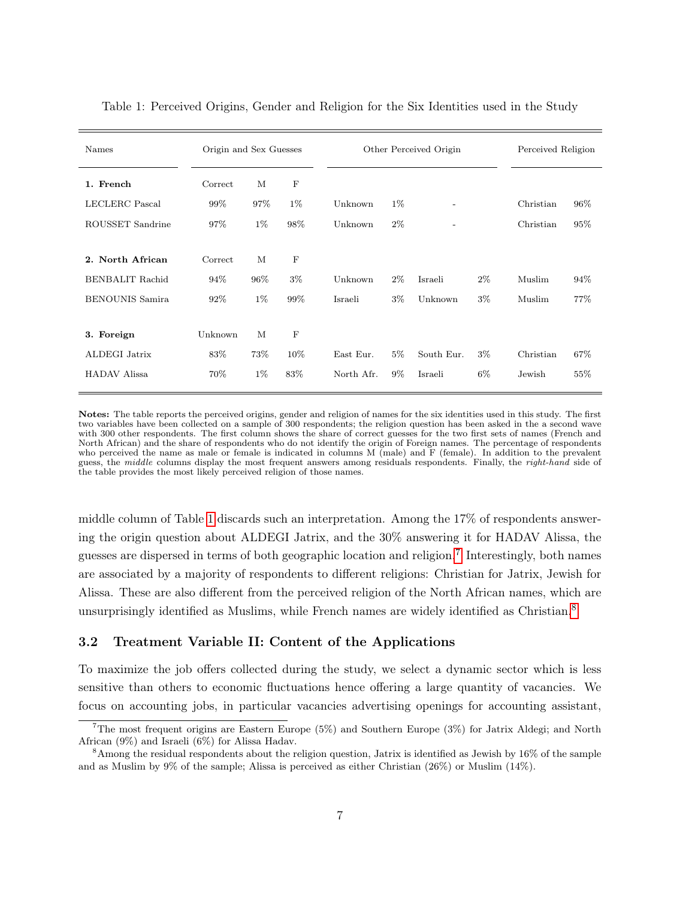| Names                  | Origin and Sex Guesses |       |              | Other Perceived Origin |       |            |       | Perceived Religion |      |  |
|------------------------|------------------------|-------|--------------|------------------------|-------|------------|-------|--------------------|------|--|
| 1. French              | Correct                | M     | $_{\rm F}$   |                        |       |            |       |                    |      |  |
| <b>LECLERC</b> Pascal  | 99%                    | 97%   | $1\%$        | Unknown                | $1\%$ | -          |       | Christian          | 96%  |  |
| ROUSSET Sandrine       | 97%                    | $1\%$ | 98%          | Unknown                | $2\%$ |            |       | Christian          | 95%  |  |
|                        |                        |       |              |                        |       |            |       |                    |      |  |
| 2. North African       | Correct                | М     | $\mathbf F$  |                        |       |            |       |                    |      |  |
| <b>BENBALIT Rachid</b> | 94%                    | 96%   | 3%           | Unknown                | $2\%$ | Israeli    | $2\%$ | Muslim             | 94%  |  |
| <b>BENOUNIS Samira</b> | 92%                    | $1\%$ | 99%          | Israeli                | 3%    | Unknown    | 3%    | Muslim             | 77%  |  |
|                        |                        |       |              |                        |       |            |       |                    |      |  |
| 3. Foreign             | Unknown                | M     | $\mathbf{F}$ |                        |       |            |       |                    |      |  |
| ALDEGI Jatrix          | 83%                    | 73%   | 10%          | East Eur.              | $5\%$ | South Eur. | 3%    | Christian          | 67\% |  |
| <b>HADAV</b> Alissa    | 70%                    | $1\%$ | 83%          | North Afr.             | 9%    | Israeli    | 6%    | Jewish             | 55%  |  |
|                        |                        |       |              |                        |       |            |       |                    |      |  |

Table 1: Perceived Origins, Gender and Religion for the Six Identities used in the Study

Notes: The table reports the perceived origins, gender and religion of names for the six identities used in this study. The first two variables have been collected on a sample of 300 respondents; the religion question has been asked in the a second wave with 300 other respondents. The first column shows the share of correct guesses for the two first sets of names (French and North African) and the share of respondents who do not identify the origin of Foreign names. The percentage of respondents who perceived the name as male or female is indicated in columns M (male) and F (female). In addition to the prevalent guess, the middle columns display the most frequent answers among residuals respondents. Finally, the right-hand side of the table provides the most likely perceived religion of those names.

middle column of Table 1 discards such an interpretation. Among the 17% of respondents answering the origin question about ALDEGI Jatrix, and the 30% answering it for HADAV Alissa, the guesses are dispersed in terms of both geographic location and religion.<sup>7</sup> Interestingly, both names are associated by a majority of respondents to different religions: Christian for Jatrix, Jewish for Alissa. These are also different from the perceived religion of the North African names, which are unsurprisingly identified as Muslims, while French names are widely identified as Christian.<sup>8</sup>

## 3.2 Treatment Variable II: Content of the Applications

To maximize the job offers collected during the study, we select a dynamic sector which is less sensitive than others to economic fluctuations hence offering a large quantity of vacancies. We focus on accounting jobs, in particular vacancies advertising openings for accounting assistant,

<sup>&</sup>lt;sup>7</sup>The most frequent origins are Eastern Europe (5%) and Southern Europe (3%) for Jatrix Aldegi; and North African (9%) and Israeli (6%) for Alissa Hadav.

<sup>&</sup>lt;sup>8</sup> Among the residual respondents about the religion question, Jatrix is identified as Jewish by 16% of the sample and as Muslim by 9% of the sample; Alissa is perceived as either Christian (26%) or Muslim (14%).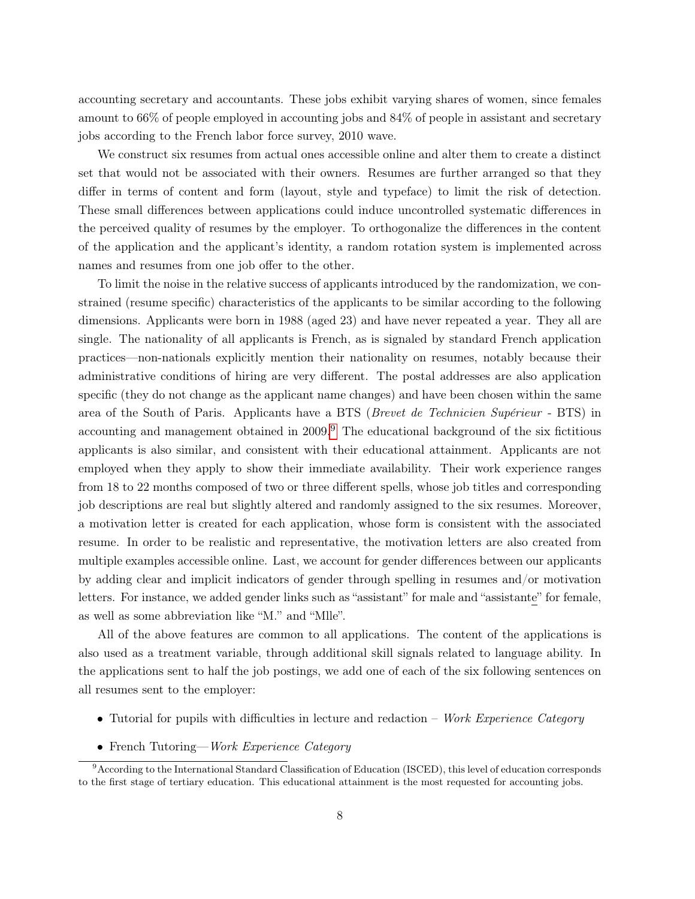accounting secretary and accountants. These jobs exhibit varying shares of women, since females amount to 66% of people employed in accounting jobs and 84% of people in assistant and secretary jobs according to the French labor force survey, 2010 wave.

We construct six resumes from actual ones accessible online and alter them to create a distinct set that would not be associated with their owners. Resumes are further arranged so that they differ in terms of content and form (layout, style and typeface) to limit the risk of detection. These small differences between applications could induce uncontrolled systematic differences in the perceived quality of resumes by the employer. To orthogonalize the differences in the content of the application and the applicant's identity, a random rotation system is implemented across names and resumes from one job offer to the other.

To limit the noise in the relative success of applicants introduced by the randomization, we constrained (resume specific) characteristics of the applicants to be similar according to the following dimensions. Applicants were born in 1988 (aged 23) and have never repeated a year. They all are single. The nationality of all applicants is French, as is signaled by standard French application practices—non-nationals explicitly mention their nationality on resumes, notably because their administrative conditions of hiring are very different. The postal addresses are also application specific (they do not change as the applicant name changes) and have been chosen within the same area of the South of Paris. Applicants have a BTS (Brevet de Technicien Supérieur - BTS) in accounting and management obtained in 2009.<sup>9</sup> The educational background of the six fictitious applicants is also similar, and consistent with their educational attainment. Applicants are not employed when they apply to show their immediate availability. Their work experience ranges from 18 to 22 months composed of two or three different spells, whose job titles and corresponding job descriptions are real but slightly altered and randomly assigned to the six resumes. Moreover, a motivation letter is created for each application, whose form is consistent with the associated resume. In order to be realistic and representative, the motivation letters are also created from multiple examples accessible online. Last, we account for gender differences between our applicants by adding clear and implicit indicators of gender through spelling in resumes and/or motivation letters. For instance, we added gender links such as "assistant" for male and "assistante" for female, as well as some abbreviation like "M." and "Mlle".

All of the above features are common to all applications. The content of the applications is also used as a treatment variable, through additional skill signals related to language ability. In the applications sent to half the job postings, we add one of each of the six following sentences on all resumes sent to the employer:

- Tutorial for pupils with difficulties in lecture and redaction Work Experience Category
- French Tutoring—Work Experience Category

<sup>&</sup>lt;sup>9</sup> According to the International Standard Classification of Education (ISCED), this level of education corresponds to the first stage of tertiary education. This educational attainment is the most requested for accounting jobs.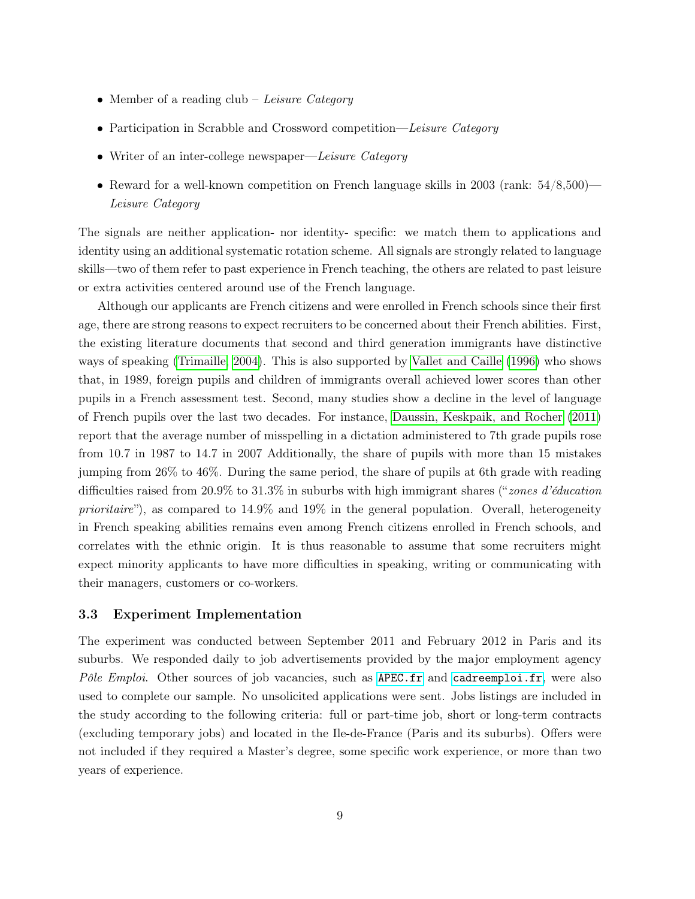- Member of a reading club Leisure Category
- Participation in Scrabble and Crossword competition—Leisure Category
- Writer of an inter-college newspaper—Leisure Category
- Reward for a well-known competition on French language skills in 2003 (rank:  $54/8,500$ )— Leisure Category

The signals are neither application- nor identity- specific: we match them to applications and identity using an additional systematic rotation scheme. All signals are strongly related to language skills—two of them refer to past experience in French teaching, the others are related to past leisure or extra activities centered around use of the French language.

Although our applicants are French citizens and were enrolled in French schools since their first age, there are strong reasons to expect recruiters to be concerned about their French abilities. First, the existing literature documents that second and third generation immigrants have distinctive ways of speaking (Trimaille, 2004). This is also supported by Vallet and Caille (1996) who shows that, in 1989, foreign pupils and children of immigrants overall achieved lower scores than other pupils in a French assessment test. Second, many studies show a decline in the level of language of French pupils over the last two decades. For instance, Daussin, Keskpaik, and Rocher (2011) report that the average number of misspelling in a dictation administered to 7th grade pupils rose from 10.7 in 1987 to 14.7 in 2007 Additionally, the share of pupils with more than 15 mistakes jumping from 26% to 46%. During the same period, the share of pupils at 6th grade with reading difficulties raised from 20.9% to 31.3% in suburbs with high immigrant shares ("*zones d'éducation* prioritaire"), as compared to  $14.9\%$  and  $19\%$  in the general population. Overall, heterogeneity in French speaking abilities remains even among French citizens enrolled in French schools, and correlates with the ethnic origin. It is thus reasonable to assume that some recruiters might expect minority applicants to have more difficulties in speaking, writing or communicating with their managers, customers or co-workers.

## 3.3 Experiment Implementation

The experiment was conducted between September 2011 and February 2012 in Paris and its suburbs. We responded daily to job advertisements provided by the major employment agency Pôle Emploi. Other sources of job vacancies, such as <APEC.fr> and <cadreemploi.fr>, were also used to complete our sample. No unsolicited applications were sent. Jobs listings are included in the study according to the following criteria: full or part-time job, short or long-term contracts (excluding temporary jobs) and located in the Ile-de-France (Paris and its suburbs). Offers were not included if they required a Master's degree, some specific work experience, or more than two years of experience.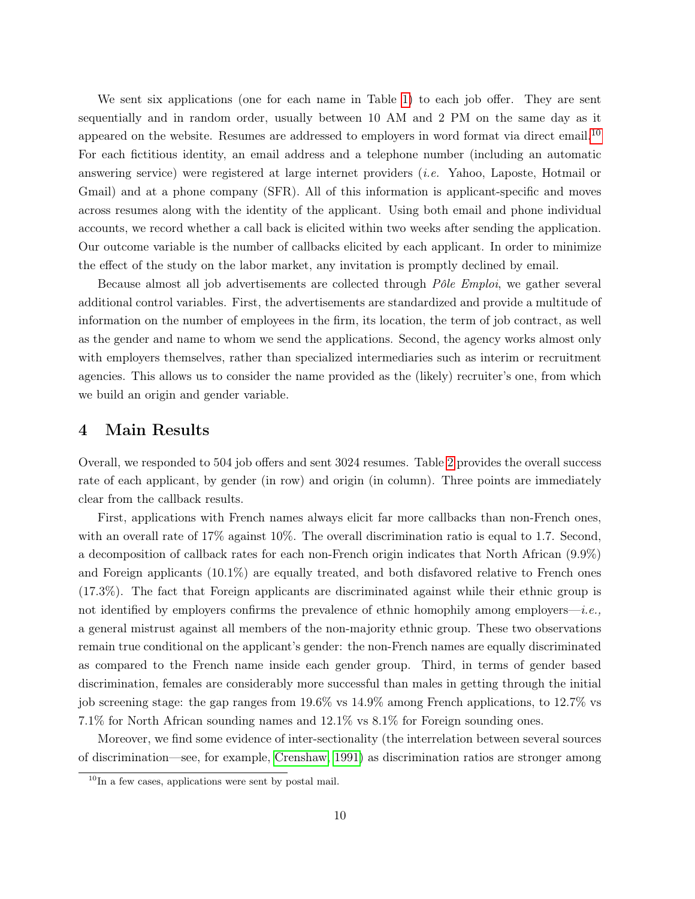We sent six applications (one for each name in Table 1) to each job offer. They are sent sequentially and in random order, usually between 10 AM and 2 PM on the same day as it appeared on the website. Resumes are addressed to employers in word format via direct email.<sup>10</sup> For each fictitious identity, an email address and a telephone number (including an automatic answering service) were registered at large internet providers (i.e. Yahoo, Laposte, Hotmail or Gmail) and at a phone company (SFR). All of this information is applicant-specific and moves across resumes along with the identity of the applicant. Using both email and phone individual accounts, we record whether a call back is elicited within two weeks after sending the application. Our outcome variable is the number of callbacks elicited by each applicant. In order to minimize the effect of the study on the labor market, any invitation is promptly declined by email.

Because almost all job advertisements are collected through Pôle Emploi, we gather several additional control variables. First, the advertisements are standardized and provide a multitude of information on the number of employees in the firm, its location, the term of job contract, as well as the gender and name to whom we send the applications. Second, the agency works almost only with employers themselves, rather than specialized intermediaries such as interim or recruitment agencies. This allows us to consider the name provided as the (likely) recruiter's one, from which we build an origin and gender variable.

## 4 Main Results

Overall, we responded to 504 job offers and sent 3024 resumes. Table 2 provides the overall success rate of each applicant, by gender (in row) and origin (in column). Three points are immediately clear from the callback results.

First, applications with French names always elicit far more callbacks than non-French ones, with an overall rate of 17\% against 10\%. The overall discrimination ratio is equal to 1.7. Second, a decomposition of callback rates for each non-French origin indicates that North African (9.9%) and Foreign applicants (10.1%) are equally treated, and both disfavored relative to French ones (17.3%). The fact that Foreign applicants are discriminated against while their ethnic group is not identified by employers confirms the prevalence of ethnic homophily among employers—i.e., a general mistrust against all members of the non-majority ethnic group. These two observations remain true conditional on the applicant's gender: the non-French names are equally discriminated as compared to the French name inside each gender group. Third, in terms of gender based discrimination, females are considerably more successful than males in getting through the initial job screening stage: the gap ranges from 19.6% vs 14.9% among French applications, to 12.7% vs 7.1% for North African sounding names and 12.1% vs 8.1% for Foreign sounding ones.

Moreover, we find some evidence of inter-sectionality (the interrelation between several sources of discrimination—see, for example, Crenshaw, 1991) as discrimination ratios are stronger among

 $10$ In a few cases, applications were sent by postal mail.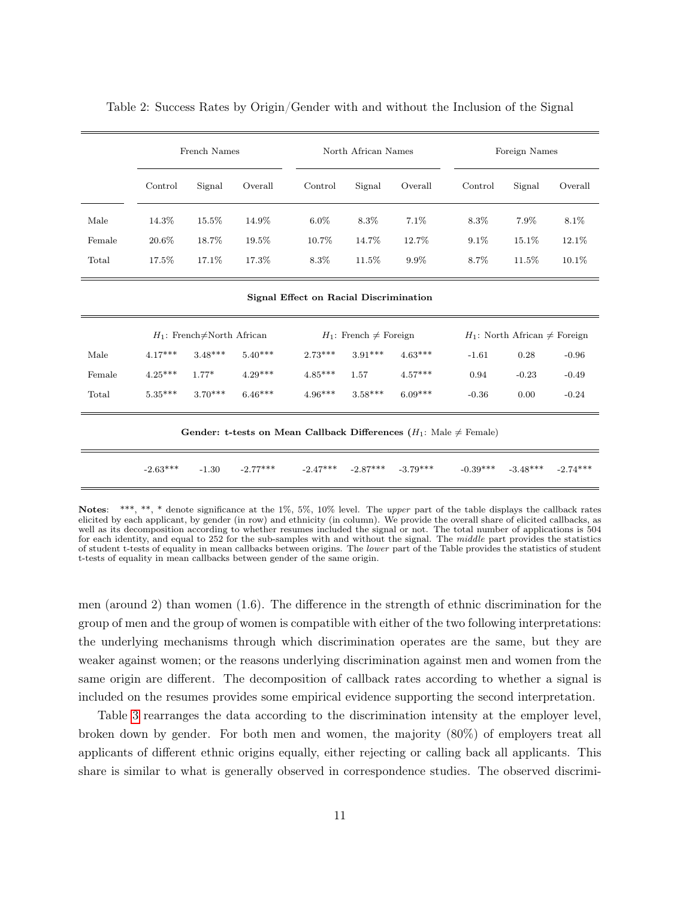|                                        | French Names                                                                         |                              |            |            | North African Names           |            |            | Foreign Names                        |            |  |
|----------------------------------------|--------------------------------------------------------------------------------------|------------------------------|------------|------------|-------------------------------|------------|------------|--------------------------------------|------------|--|
|                                        | Control                                                                              | Signal                       | Overall    | Control    | Signal                        | Overall    | Control    | Signal                               | Overall    |  |
| Male                                   | 14.3%                                                                                | 15.5%                        | 14.9%      | $6.0\%$    | 8.3%                          | 7.1%       | 8.3%       | 7.9%                                 | 8.1%       |  |
| Female                                 | 20.6%                                                                                | 18.7%                        | 19.5%      | 10.7%      | 14.7%                         | 12.7%      | 9.1%       | 15.1%                                | 12.1%      |  |
| Total                                  | 17.5%                                                                                | 17.1%                        | 17.3%      | 8.3%       | 11.5%                         | 9.9%       | 8.7%       | 11.5%                                | 10.1%      |  |
| Signal Effect on Racial Discrimination |                                                                                      |                              |            |            |                               |            |            |                                      |            |  |
|                                        |                                                                                      | $H_1$ : French≠North African |            |            | $H_1$ : French $\neq$ Foreign |            |            | $H_1$ : North African $\neq$ Foreign |            |  |
| Male                                   | $4.17***$                                                                            | $3.48***$                    | $5.40***$  | $2.73***$  | $3.91***$                     | $4.63***$  | $-1.61$    | 0.28                                 | $-0.96$    |  |
| Female                                 | $4.25***$                                                                            | $1.77*$                      | $4.29***$  | $4.85***$  | 1.57                          | $4.57***$  | 0.94       | $-0.23$                              | $-0.49$    |  |
| Total                                  | $5.35***$                                                                            | $3.70***$                    | $6.46***$  | $4.96***$  | $3.58***$                     | $6.09***$  | $-0.36$    | 0.00                                 | $-0.24$    |  |
|                                        | Gender: t-tests on Mean Callback Differences $(H_1: \text{Male} \neq \text{Female})$ |                              |            |            |                               |            |            |                                      |            |  |
|                                        | $-2.63***$                                                                           | $-1.30$                      | $-2.77***$ | $-2.47***$ | $-2.87***$                    | $-3.79***$ | $-0.39***$ | $-3.48***$                           | $-2.74***$ |  |

Table 2: Success Rates by Origin/Gender with and without the Inclusion of the Signal

Notes: \*\*, \*\*, \* denote significance at the  $1\%$ ,  $5\%$ ,  $10\%$  level. The upper part of the table displays the callback rates elicited by each applicant, by gender (in row) and ethnicity (in column). We provide the overall share of elicited callbacks, as well as its decomposition according to whether resumes included the signal or not. The total number of applications is 504 for each identity, and equal to 252 for the sub-samples with and without the signal. The middle part provides the statistics of student t-tests of equality in mean callbacks between origins. The lower part of the Table provides the statistics of student t-tests of equality in mean callbacks between gender of the same origin.

men (around 2) than women (1.6). The difference in the strength of ethnic discrimination for the group of men and the group of women is compatible with either of the two following interpretations: the underlying mechanisms through which discrimination operates are the same, but they are weaker against women; or the reasons underlying discrimination against men and women from the same origin are different. The decomposition of callback rates according to whether a signal is included on the resumes provides some empirical evidence supporting the second interpretation.

Table 3 rearranges the data according to the discrimination intensity at the employer level, broken down by gender. For both men and women, the majority (80%) of employers treat all applicants of different ethnic origins equally, either rejecting or calling back all applicants. This share is similar to what is generally observed in correspondence studies. The observed discrimi-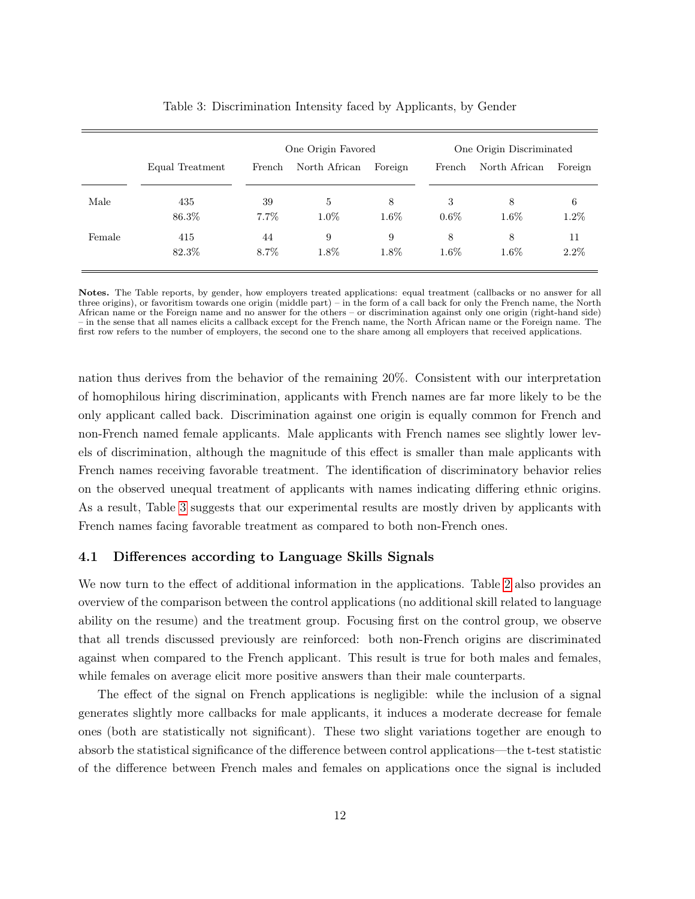|        |                 |         | One Origin Favored |         | One Origin Discriminated |               |         |  |  |
|--------|-----------------|---------|--------------------|---------|--------------------------|---------------|---------|--|--|
|        | Equal Treatment | French  | North African      | Foreign | French                   | North African | Foreign |  |  |
| Male   | 435             | 39      | 5                  | 8       | 3                        | 8             | 6       |  |  |
|        | 86.3%           | $7.7\%$ | $1.0\%$            | $1.6\%$ | $0.6\%$                  | $1.6\%$       | 1.2%    |  |  |
| Female | 415             | 44      | 9                  | 9       | 8                        | 8             | 11      |  |  |
|        | 82.3%           | 8.7%    | 1.8%               | 1.8%    | $1.6\%$                  | $1.6\%$       | 2.2%    |  |  |

Table 3: Discrimination Intensity faced by Applicants, by Gender

Notes. The Table reports, by gender, how employers treated applications: equal treatment (callbacks or no answer for all three origins), or favoritism towards one origin (middle part) – in the form of a call back for only the French name, the North African name or the Foreign name and no answer for the others – or discrimination against only one origin (right-hand side) – in the sense that all names elicits a callback except for the French name, the North African name or the Foreign name. The first row refers to the number of employers, the second one to the share among all employers that received applications.

nation thus derives from the behavior of the remaining 20%. Consistent with our interpretation of homophilous hiring discrimination, applicants with French names are far more likely to be the only applicant called back. Discrimination against one origin is equally common for French and non-French named female applicants. Male applicants with French names see slightly lower levels of discrimination, although the magnitude of this effect is smaller than male applicants with French names receiving favorable treatment. The identification of discriminatory behavior relies on the observed unequal treatment of applicants with names indicating differing ethnic origins. As a result, Table 3 suggests that our experimental results are mostly driven by applicants with French names facing favorable treatment as compared to both non-French ones.

### 4.1 Differences according to Language Skills Signals

We now turn to the effect of additional information in the applications. Table 2 also provides an overview of the comparison between the control applications (no additional skill related to language ability on the resume) and the treatment group. Focusing first on the control group, we observe that all trends discussed previously are reinforced: both non-French origins are discriminated against when compared to the French applicant. This result is true for both males and females, while females on average elicit more positive answers than their male counterparts.

The effect of the signal on French applications is negligible: while the inclusion of a signal generates slightly more callbacks for male applicants, it induces a moderate decrease for female ones (both are statistically not significant). These two slight variations together are enough to absorb the statistical significance of the difference between control applications—the t-test statistic of the difference between French males and females on applications once the signal is included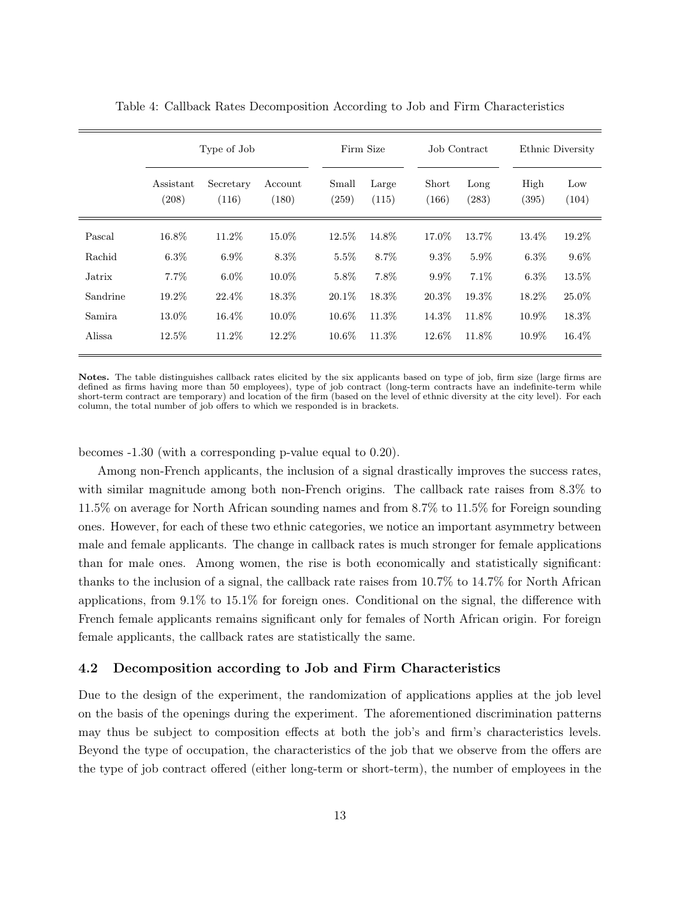|                | Type of Job        |                    |                  | Firm Size      |                | Job Contract   |               | Ethnic Diversity |              |
|----------------|--------------------|--------------------|------------------|----------------|----------------|----------------|---------------|------------------|--------------|
|                | Assistant<br>(208) | Secretary<br>(116) | Account<br>(180) | Small<br>(259) | Large<br>(115) | Short<br>(166) | Long<br>(283) | High<br>(395)    | Low<br>(104) |
| Pascal         | 16.8%              | 11.2%              | 15.0%            | 12.5%          | 14.8%          | 17.0%          | 13.7%         | 13.4\%           | 19.2%        |
| Rachid         | $6.3\%$            | $6.9\%$            | 8.3%             | $5.5\%$        | $8.7\%$        | $9.3\%$        | $5.9\%$       | $6.3\%$          | $9.6\%$      |
| Jatrix         | $7.7\%$            | $6.0\%$            | $10.0\%$         | 5.8%           | 7.8%           | $9.9\%$        | $7.1\%$       | $6.3\%$          | 13.5%        |
| Sandrine       | 19.2%              | 22.4\%             | 18.3%            | $20.1\%$       | 18.3%          | 20.3\%         | 19.3%         | 18.2%            | 25.0%        |
| <b>Samira</b>  | 13.0%              | 16.4%              | $10.0\%$         | 10.6%          | $11.3\%$       | 14.3%          | 11.8%         | 10.9%            | 18.3%        |
| <b>A</b> lissa | 12.5%              | 11.2%              | 12.2\%           | $10.6\%$       | 11.3%          | 12.6%          | 11.8%         | $10.9\%$         | $16.4\%$     |

Table 4: Callback Rates Decomposition According to Job and Firm Characteristics

Notes. The table distinguishes callback rates elicited by the six applicants based on type of job, firm size (large firms are defined as firms having more than 50 employees), type of job contract (long-term contracts have an indefinite-term while short-term contract are temporary) and location of the firm (based on the level of ethnic diversity at the city level). For each column, the total number of job offers to which we responded is in brackets.

becomes -1.30 (with a corresponding p-value equal to 0.20).

Among non-French applicants, the inclusion of a signal drastically improves the success rates, with similar magnitude among both non-French origins. The callback rate raises from 8.3% to 11.5% on average for North African sounding names and from 8.7% to 11.5% for Foreign sounding ones. However, for each of these two ethnic categories, we notice an important asymmetry between male and female applicants. The change in callback rates is much stronger for female applications than for male ones. Among women, the rise is both economically and statistically significant: thanks to the inclusion of a signal, the callback rate raises from 10.7% to 14.7% for North African applications, from 9.1% to 15.1% for foreign ones. Conditional on the signal, the difference with French female applicants remains significant only for females of North African origin. For foreign female applicants, the callback rates are statistically the same.

### 4.2 Decomposition according to Job and Firm Characteristics

Due to the design of the experiment, the randomization of applications applies at the job level on the basis of the openings during the experiment. The aforementioned discrimination patterns may thus be subject to composition effects at both the job's and firm's characteristics levels. Beyond the type of occupation, the characteristics of the job that we observe from the offers are the type of job contract offered (either long-term or short-term), the number of employees in the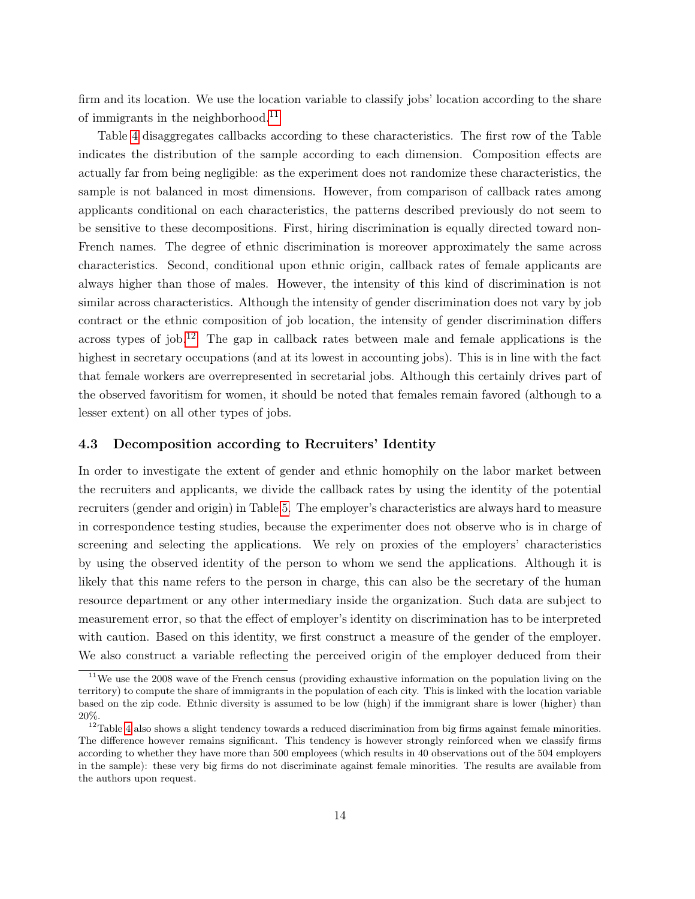firm and its location. We use the location variable to classify jobs' location according to the share of immigrants in the neighborhood.<sup>11</sup>

Table 4 disaggregates callbacks according to these characteristics. The first row of the Table indicates the distribution of the sample according to each dimension. Composition effects are actually far from being negligible: as the experiment does not randomize these characteristics, the sample is not balanced in most dimensions. However, from comparison of callback rates among applicants conditional on each characteristics, the patterns described previously do not seem to be sensitive to these decompositions. First, hiring discrimination is equally directed toward non-French names. The degree of ethnic discrimination is moreover approximately the same across characteristics. Second, conditional upon ethnic origin, callback rates of female applicants are always higher than those of males. However, the intensity of this kind of discrimination is not similar across characteristics. Although the intensity of gender discrimination does not vary by job contract or the ethnic composition of job location, the intensity of gender discrimination differs across types of job.<sup>12</sup> The gap in callback rates between male and female applications is the highest in secretary occupations (and at its lowest in accounting jobs). This is in line with the fact that female workers are overrepresented in secretarial jobs. Although this certainly drives part of the observed favoritism for women, it should be noted that females remain favored (although to a lesser extent) on all other types of jobs.

## 4.3 Decomposition according to Recruiters' Identity

In order to investigate the extent of gender and ethnic homophily on the labor market between the recruiters and applicants, we divide the callback rates by using the identity of the potential recruiters (gender and origin) in Table 5. The employer's characteristics are always hard to measure in correspondence testing studies, because the experimenter does not observe who is in charge of screening and selecting the applications. We rely on proxies of the employers' characteristics by using the observed identity of the person to whom we send the applications. Although it is likely that this name refers to the person in charge, this can also be the secretary of the human resource department or any other intermediary inside the organization. Such data are subject to measurement error, so that the effect of employer's identity on discrimination has to be interpreted with caution. Based on this identity, we first construct a measure of the gender of the employer. We also construct a variable reflecting the perceived origin of the employer deduced from their

 $11$ We use the 2008 wave of the French census (providing exhaustive information on the population living on the territory) to compute the share of immigrants in the population of each city. This is linked with the location variable based on the zip code. Ethnic diversity is assumed to be low (high) if the immigrant share is lower (higher) than 20%.

 $12$ Table 4 also shows a slight tendency towards a reduced discrimination from big firms against female minorities. The difference however remains significant. This tendency is however strongly reinforced when we classify firms according to whether they have more than 500 employees (which results in 40 observations out of the 504 employers in the sample): these very big firms do not discriminate against female minorities. The results are available from the authors upon request.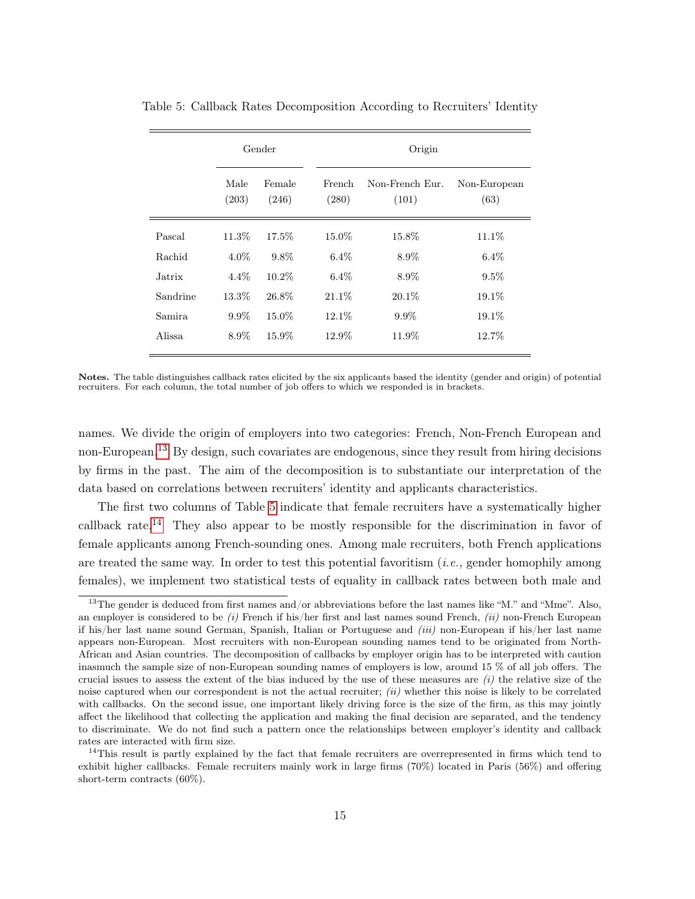|          |               | Gender          |                 | Origin                   |                      |  |  |  |  |  |
|----------|---------------|-----------------|-----------------|--------------------------|----------------------|--|--|--|--|--|
|          | Male<br>(203) | Female<br>(246) | French<br>(280) | Non-French Eur.<br>(101) | Non-European<br>(63) |  |  |  |  |  |
| Pascal   | 11.3%         | 17.5%           | 15.0%           | 15.8%                    | $11.1\%$             |  |  |  |  |  |
| Rachid   | $4.0\%$       | $9.8\%$         | $6.4\%$         | $8.9\%$                  | $6.4\%$              |  |  |  |  |  |
| Jatrix   | $4.4\%$       | $10.2\%$        | $6.4\%$         | 8.9%                     | $9.5\%$              |  |  |  |  |  |
| Sandrine | 13.3%         | 26.8%           | 21.1\%          | $20.1\%$                 | 19.1\%               |  |  |  |  |  |
| Samira   | $9.9\%$       | 15.0%           | $12.1\%$        | $9.9\%$                  | $19.1\%$             |  |  |  |  |  |
| Alissa   | 8.9%          | 15.9%           | 12.9%           | 11.9%                    | 12.7%                |  |  |  |  |  |

Table 5: Callback Rates Decomposition According to Recruiters' Identity

Notes. The table distinguishes callback rates elicited by the six applicants based the identity (gender and origin) of potential recruiters. For each column, the total number of job offers to which we responded is in brackets.

names. We divide the origin of employers into two categories: French, Non-French European and non-European.<sup>13</sup> By design, such covariates are endogenous, since they result from hiring decisions by firms in the past. The aim of the decomposition is to substantiate our interpretation of the data based on correlations between recruiters' identity and applicants characteristics.

The first two columns of Table 5 indicate that female recruiters have a systematically higher callback rate.<sup>14</sup> They also appear to be mostly responsible for the discrimination in favor of female applicants among French-sounding ones. Among male recruiters, both French applications are treated the same way. In order to test this potential favoritism  $(i.e.,$  gender homophily among females), we implement two statistical tests of equality in callback rates between both male and

<sup>&</sup>lt;sup>13</sup>The gender is deduced from first names and/or abbreviations before the last names like "M." and "Mme". Also, an employer is considered to be  $(i)$  French if his/her first and last names sound French,  $(ii)$  non-French European if his/her last name sound German, Spanish, Italian or Portuguese and (iii) non-European if his/her last name appears non-European. Most recruiters with non-European sounding names tend to be originated from North-African and Asian countries. The decomposition of callbacks by employer origin has to be interpreted with caution inasmuch the sample size of non-European sounding names of employers is low, around 15 % of all job offers. The crucial issues to assess the extent of the bias induced by the use of these measures are  $(i)$  the relative size of the noise captured when our correspondent is not the actual recruiter;  $(ii)$  whether this noise is likely to be correlated with callbacks. On the second issue, one important likely driving force is the size of the firm, as this may jointly affect the likelihood that collecting the application and making the final decision are separated, and the tendency to discriminate. We do not find such a pattern once the relationships between employer's identity and callback rates are interacted with firm size.

 $14$ This result is partly explained by the fact that female recruiters are overrepresented in firms which tend to exhibit higher callbacks. Female recruiters mainly work in large firms (70%) located in Paris (56%) and offering short-term contracts (60%).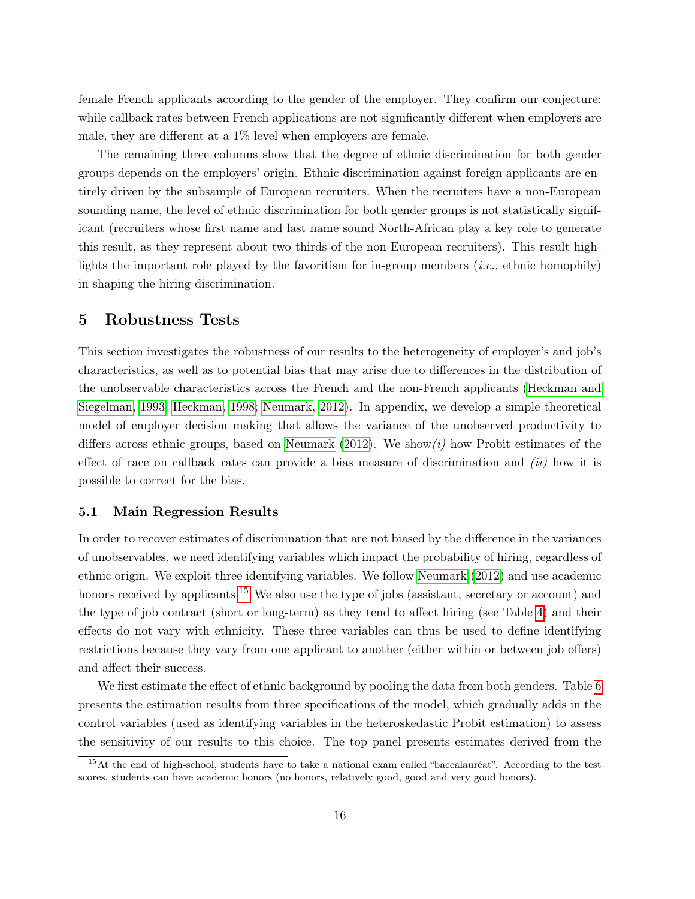female French applicants according to the gender of the employer. They confirm our conjecture: while callback rates between French applications are not significantly different when employers are male, they are different at a 1% level when employers are female.

The remaining three columns show that the degree of ethnic discrimination for both gender groups depends on the employers' origin. Ethnic discrimination against foreign applicants are entirely driven by the subsample of European recruiters. When the recruiters have a non-European sounding name, the level of ethnic discrimination for both gender groups is not statistically significant (recruiters whose first name and last name sound North-African play a key role to generate this result, as they represent about two thirds of the non-European recruiters). This result highlights the important role played by the favoritism for in-group members  $(i.e.,$  ethnic homophily) in shaping the hiring discrimination.

## 5 Robustness Tests

This section investigates the robustness of our results to the heterogeneity of employer's and job's characteristics, as well as to potential bias that may arise due to differences in the distribution of the unobservable characteristics across the French and the non-French applicants (Heckman and Siegelman, 1993; Heckman, 1998; Neumark, 2012). In appendix, we develop a simple theoretical model of employer decision making that allows the variance of the unobserved productivity to differs across ethnic groups, based on Neumark  $(2012)$ . We show $(i)$  how Probit estimates of the effect of race on callback rates can provide a bias measure of discrimination and  $(ii)$  how it is possible to correct for the bias.

## 5.1 Main Regression Results

In order to recover estimates of discrimination that are not biased by the difference in the variances of unobservables, we need identifying variables which impact the probability of hiring, regardless of ethnic origin. We exploit three identifying variables. We follow Neumark (2012) and use academic honors received by applicants.<sup>15</sup> We also use the type of jobs (assistant, secretary or account) and the type of job contract (short or long-term) as they tend to affect hiring (see Table 4) and their effects do not vary with ethnicity. These three variables can thus be used to define identifying restrictions because they vary from one applicant to another (either within or between job offers) and affect their success.

We first estimate the effect of ethnic background by pooling the data from both genders. Table 6 presents the estimation results from three specifications of the model, which gradually adds in the control variables (used as identifying variables in the heteroskedastic Probit estimation) to assess the sensitivity of our results to this choice. The top panel presents estimates derived from the

<sup>&</sup>lt;sup>15</sup>At the end of high-school, students have to take a national exam called "baccalauréat". According to the test scores, students can have academic honors (no honors, relatively good, good and very good honors).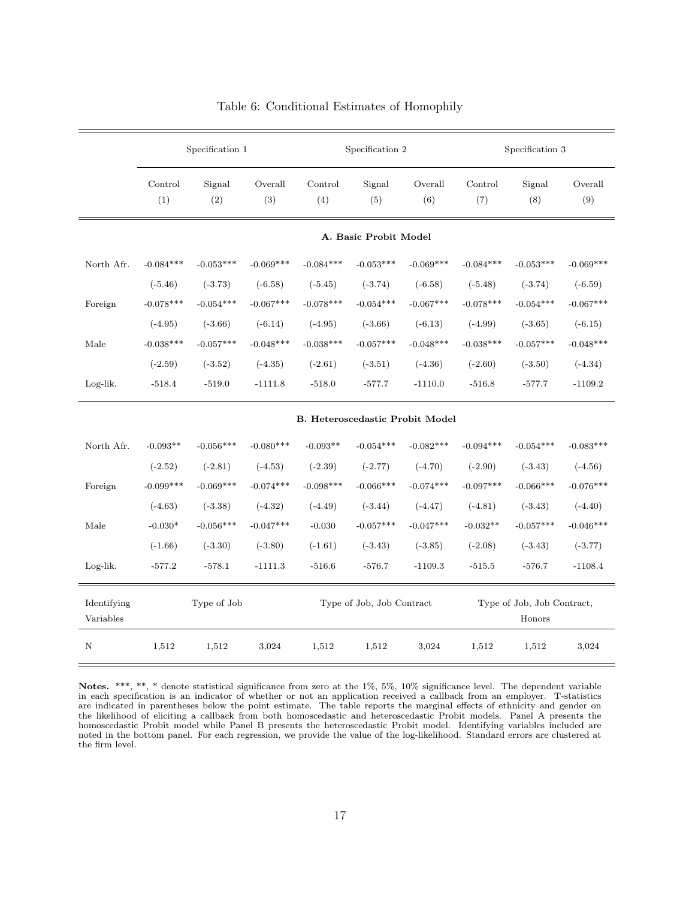|                          | Specification 1                        |               |                |                | Specification 2           |                |                | Specification 3                      |                |  |
|--------------------------|----------------------------------------|---------------|----------------|----------------|---------------------------|----------------|----------------|--------------------------------------|----------------|--|
|                          | Control<br>(1)                         | Signal<br>(2) | Overall<br>(3) | Control<br>(4) | Signal<br>(5)             | Overall<br>(6) | Control<br>(7) | Signal<br>(8)                        | Overall<br>(9) |  |
|                          | A. Basic Probit Model                  |               |                |                |                           |                |                |                                      |                |  |
| North Afr.               | $-0.084***$                            | $-0.053***$   | $-0.069***$    | $-0.084***$    | $-0.053***$               | $-0.069***$    | $-0.084***$    | $-0.053***$                          | $-0.069***$    |  |
|                          | $(-5.46)$                              | $(-3.73)$     | $(-6.58)$      | $(-5.45)$      | $(-3.74)$                 | $(-6.58)$      | $(-5.48)$      | $(-3.74)$                            | $(-6.59)$      |  |
| Foreign                  | $-0.078***$                            | $-0.054***$   | $-0.067***$    | $-0.078***$    | $-0.054***$               | $-0.067***$    | $-0.078***$    | $-0.054***$                          | $-0.067***$    |  |
|                          | $(-4.95)$                              | $(-3.66)$     | $(-6.14)$      | $(-4.95)$      | $(-3.66)$                 | $(-6.13)$      | $(-4.99)$      | $(-3.65)$                            | $(-6.15)$      |  |
| Male                     | $-0.038***$                            | $-0.057***$   | $-0.048***$    | $-0.038***$    | $-0.057***$               | $-0.048***$    | $-0.038***$    | $-0.057***$                          | $-0.048***$    |  |
|                          | $(-2.59)$                              | $(-3.52)$     | $(-4.35)$      | $(-2.61)$      | $(-3.51)$                 | $(-4.36)$      | $(-2.60)$      | $(-3.50)$                            | $(-4.34)$      |  |
| Log-lik.                 | $-518.4$                               | $-519.0$      | $-1111.8$      | $-518.0$       | $-577.7$                  | $-1110.0$      | $-516.8$       | $-577.7$                             | $-1109.2$      |  |
|                          | <b>B.</b> Heteroscedastic Probit Model |               |                |                |                           |                |                |                                      |                |  |
| North Afr.               | $-0.093**$                             | $-0.056***$   | $-0.080***$    | $-0.093**$     | $-0.054***$               | $-0.082***$    | $-0.094***$    | $-0.054***$                          | $-0.083***$    |  |
|                          | $(-2.52)$                              | $(-2.81)$     | $(-4.53)$      | $(-2.39)$      | $(-2.77)$                 | $(-4.70)$      | $(-2.90)$      | $(-3.43)$                            | $(-4.56)$      |  |
| Foreign                  | $-0.099***$                            | $-0.069***$   | $-0.074***$    | $-0.098***$    | $-0.066***$               | $-0.074***$    | $-0.097***$    | $-0.066***$                          | $-0.076***$    |  |
|                          | $(-4.63)$                              | $(-3.38)$     | $(-4.32)$      | $(-4.49)$      | $(-3.44)$                 | $(-4.47)$      | $(-4.81)$      | $(-3.43)$                            | $(-4.40)$      |  |
| Male                     | $-0.030*$                              | $-0.056***$   | $-0.047***$    | $-0.030$       | $-0.057***$               | $-0.047***$    | $-0.032**$     | $-0.057***$                          | $-0.046***$    |  |
|                          | $(-1.66)$                              | $(-3.30)$     | $(-3.80)$      | $(-1.61)$      | $(-3.43)$                 | $(-3.85)$      | $(-2.08)$      | $(-3.43)$                            | $(-3.77)$      |  |
| Log-lik.                 | $-577.2$                               | $-578.1$      | $-1111.3$      | $-516.6$       | $-576.7$                  | $-1109.3$      | $-515.5$       | $-576.7$                             | $-1108.4$      |  |
| Identifying<br>Variables |                                        | Type of Job   |                |                | Type of Job, Job Contract |                |                | Type of Job, Job Contract,<br>Honors |                |  |
| N                        | 1,512                                  | 1,512         | 3,024          | 1,512          | 1,512                     | 3,024          | 1,512          | 1,512                                | 3,024          |  |

## Table 6: Conditional Estimates of Homophily

Notes. \*\*\*, \*\*, \* denote statistical significance from zero at the 1%, 5%, 10% significance level. The dependent variable in each specification is an indicator of whether or not an application received a callback from an employer. T-statistics are indicated in parentheses below the point estimate. The table reports the marginal effects of ethnicity and gender on the likelihood of eliciting a callback from both homoscedastic and heteroscedastic Probit models. Panel A presents the homoscedastic Probit model while Panel B presents the heteroscedastic Probit model. Identifying variables included are noted in the bottom panel. For each regression, we provide the value of the log-likelihood. Standard errors are clustered at the firm level.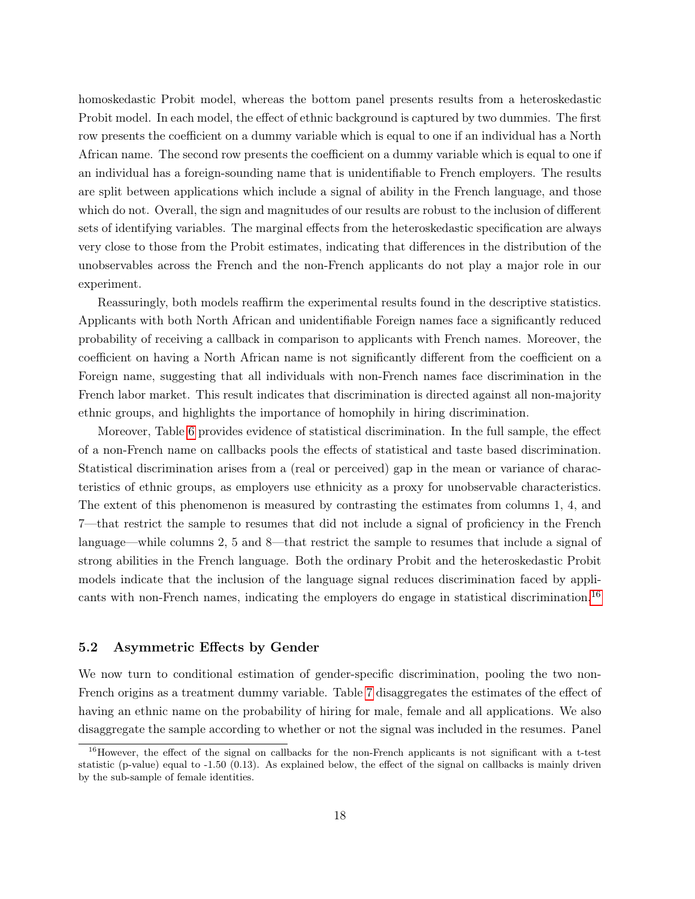homoskedastic Probit model, whereas the bottom panel presents results from a heteroskedastic Probit model. In each model, the effect of ethnic background is captured by two dummies. The first row presents the coefficient on a dummy variable which is equal to one if an individual has a North African name. The second row presents the coefficient on a dummy variable which is equal to one if an individual has a foreign-sounding name that is unidentifiable to French employers. The results are split between applications which include a signal of ability in the French language, and those which do not. Overall, the sign and magnitudes of our results are robust to the inclusion of different sets of identifying variables. The marginal effects from the heteroskedastic specification are always very close to those from the Probit estimates, indicating that differences in the distribution of the unobservables across the French and the non-French applicants do not play a major role in our experiment.

Reassuringly, both models reaffirm the experimental results found in the descriptive statistics. Applicants with both North African and unidentifiable Foreign names face a significantly reduced probability of receiving a callback in comparison to applicants with French names. Moreover, the coefficient on having a North African name is not significantly different from the coefficient on a Foreign name, suggesting that all individuals with non-French names face discrimination in the French labor market. This result indicates that discrimination is directed against all non-majority ethnic groups, and highlights the importance of homophily in hiring discrimination.

Moreover, Table 6 provides evidence of statistical discrimination. In the full sample, the effect of a non-French name on callbacks pools the effects of statistical and taste based discrimination. Statistical discrimination arises from a (real or perceived) gap in the mean or variance of characteristics of ethnic groups, as employers use ethnicity as a proxy for unobservable characteristics. The extent of this phenomenon is measured by contrasting the estimates from columns 1, 4, and 7—that restrict the sample to resumes that did not include a signal of proficiency in the French language—while columns 2, 5 and 8—that restrict the sample to resumes that include a signal of strong abilities in the French language. Both the ordinary Probit and the heteroskedastic Probit models indicate that the inclusion of the language signal reduces discrimination faced by applicants with non-French names, indicating the employers do engage in statistical discrimination.<sup>16</sup>

#### 5.2 Asymmetric Effects by Gender

We now turn to conditional estimation of gender-specific discrimination, pooling the two non-French origins as a treatment dummy variable. Table 7 disaggregates the estimates of the effect of having an ethnic name on the probability of hiring for male, female and all applications. We also disaggregate the sample according to whether or not the signal was included in the resumes. Panel

<sup>&</sup>lt;sup>16</sup>However, the effect of the signal on callbacks for the non-French applicants is not significant with a t-test statistic (p-value) equal to -1.50 (0.13). As explained below, the effect of the signal on callbacks is mainly driven by the sub-sample of female identities.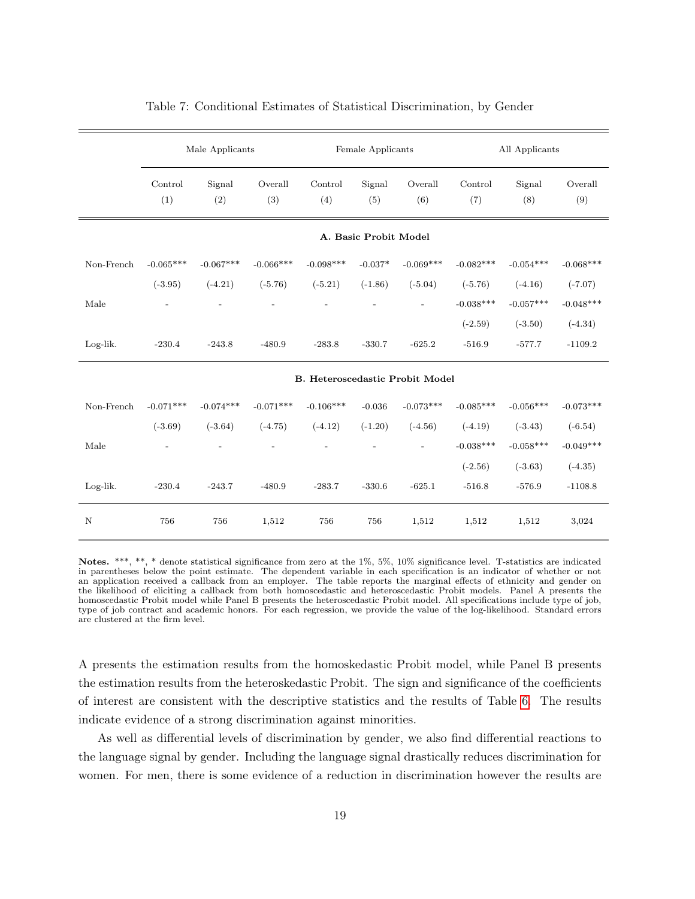|            | Male Applicants       |               |                |                | Female Applicants        |                                        |                | All Applicants |                |  |
|------------|-----------------------|---------------|----------------|----------------|--------------------------|----------------------------------------|----------------|----------------|----------------|--|
|            | Control<br>(1)        | Signal<br>(2) | Overall<br>(3) | Control<br>(4) | Signal<br>(5)            | Overall<br>(6)                         | Control<br>(7) | Signal<br>(8)  | Overall<br>(9) |  |
|            | A. Basic Probit Model |               |                |                |                          |                                        |                |                |                |  |
| Non-French | $-0.065***$           | $-0.067***$   | $-0.066***$    | $-0.098***$    | $-0.037*$                | $-0.069***$                            | $-0.082***$    | $-0.054***$    | $-0.068***$    |  |
|            | $(-3.95)$             | $(-4.21)$     | $(-5.76)$      | $(-5.21)$      | $(-1.86)$                | $(-5.04)$                              | $(-5.76)$      | $(-4.16)$      | $(-7.07)$      |  |
| Male       |                       |               |                |                |                          |                                        | $-0.038***$    | $-0.057***$    | $-0.048***$    |  |
|            |                       |               |                |                |                          |                                        | $(-2.59)$      | $(-3.50)$      | $(-4.34)$      |  |
| Log-lik.   | $-230.4$              | $-243.8$      | $-480.9$       | $-283.8$       | $-330.7$                 | $-625.2$                               | $-516.9$       | $-577.7$       | $-1109.2$      |  |
|            |                       |               |                |                |                          | <b>B. Heteroscedastic Probit Model</b> |                |                |                |  |
| Non-French | $-0.071***$           | $-0.074***$   | $-0.071***$    | $-0.106***$    | $-0.036$                 | $-0.073***$                            | $-0.085***$    | $-0.056***$    | $-0.073***$    |  |
|            | $(-3.69)$             | $(-3.64)$     | $(-4.75)$      | $(-4.12)$      | $(-1.20)$                | $(-4.56)$                              | $(-4.19)$      | $(-3.43)$      | $(-6.54)$      |  |
| Male       |                       |               |                |                | $\overline{\phantom{a}}$ | $\overline{a}$                         | $-0.038***$    | $-0.058***$    | $-0.049***$    |  |
|            |                       |               |                |                |                          |                                        | $(-2.56)$      | $(-3.63)$      | $(-4.35)$      |  |
| Log-lik.   | $-230.4$              | $-243.7$      | $-480.9$       | $-283.7$       | $-330.6$                 | $-625.1$                               | $-516.8$       | $-576.9$       | $-1108.8$      |  |
| N          | 756                   | 756           | 1,512          | 756            | 756                      | 1,512                                  | 1,512          | 1,512          | 3,024          |  |

#### Table 7: Conditional Estimates of Statistical Discrimination, by Gender

Notes. \*\*\*, \*\*, \* denote statistical significance from zero at the 1%, 5%, 10% significance level. T-statistics are indicated in parentheses below the point estimate. The dependent variable in each specification is an indicator of whether or not an application received a callback from an employer. The table reports the marginal effects of ethnicity and gender on the likelihood of eliciting a callback from both homoscedastic and heteroscedastic Probit models. Panel A presents the homoscedastic Probit model while Panel B presents the heteroscedastic Probit model. All specifications include type of job, type of job contract and academic honors. For each regression, we provide the value of the log-likelihood. Standard errors are clustered at the firm level.

A presents the estimation results from the homoskedastic Probit model, while Panel B presents the estimation results from the heteroskedastic Probit. The sign and significance of the coefficients of interest are consistent with the descriptive statistics and the results of Table 6. The results indicate evidence of a strong discrimination against minorities.

As well as differential levels of discrimination by gender, we also find differential reactions to the language signal by gender. Including the language signal drastically reduces discrimination for women. For men, there is some evidence of a reduction in discrimination however the results are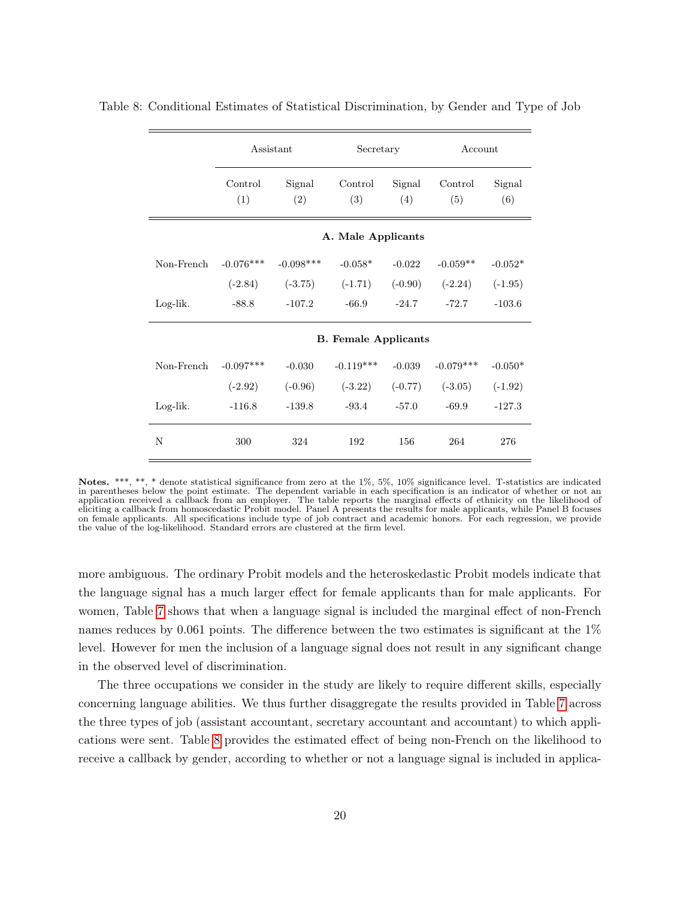|            |                | Assistant          | Secretary                   |               | Account        |               |  |  |  |  |
|------------|----------------|--------------------|-----------------------------|---------------|----------------|---------------|--|--|--|--|
|            | Control<br>(1) | Signal<br>(2)      | Control<br>(3)              | Signal<br>(4) | Control<br>(5) | Signal<br>(6) |  |  |  |  |
|            |                | A. Male Applicants |                             |               |                |               |  |  |  |  |
| Non-French | $-0.076***$    | $-0.098***$        | $-0.058*$                   | $-0.022$      | $-0.059**$     | $-0.052*$     |  |  |  |  |
|            | $(-2.84)$      | $(-3.75)$          | $(-1.71)$                   | $(-0.90)$     | $(-2.24)$      | $(-1.95)$     |  |  |  |  |
| Log-lik.   | $-88.8$        | $-107.2$           | $-66.9$                     | $-24.7$       | $-72.7$        | $-103.6$      |  |  |  |  |
|            |                |                    | <b>B.</b> Female Applicants |               |                |               |  |  |  |  |
| Non-French | $-0.097***$    | $-0.030$           | $-0.119***$                 | $-0.039$      | $-0.079***$    | $-0.050*$     |  |  |  |  |
|            | $(-2.92)$      | $(-0.96)$          | $(-3.22)$                   | $(-0.77)$     | $(-3.05)$      | $(-1.92)$     |  |  |  |  |
| Log-lik.   | $-116.8$       | $-139.8$           | $-93.4$                     | $-57.0$       | $-69.9$        | $-127.3$      |  |  |  |  |
| N          | 300            | 324                | 192                         | 156           | 264            | 276           |  |  |  |  |

Table 8: Conditional Estimates of Statistical Discrimination, by Gender and Type of Job

Notes. \*\*\*, \*\*, \* denote statistical significance from zero at the 1%, 5%, 10% significance level. T-statistics are indicated in parentheses below the point estimate. The dependent variable in each specification is an indicator of whether or not an application received a callback from an employer. The table reports the marginal effects of ethnicity on the likelihood of eliciting a callback from homoscedastic Probit model. Panel A presents the results for male applicants, while Panel B focuses on female applicants. All specifications include type of job contract and academic honors. For each regression, we provide the value of the log-likelihood. Standard errors are clustered at the firm level.

more ambiguous. The ordinary Probit models and the heteroskedastic Probit models indicate that the language signal has a much larger effect for female applicants than for male applicants. For women, Table 7 shows that when a language signal is included the marginal effect of non-French names reduces by 0.061 points. The difference between the two estimates is significant at the 1% level. However for men the inclusion of a language signal does not result in any significant change in the observed level of discrimination.

The three occupations we consider in the study are likely to require different skills, especially concerning language abilities. We thus further disaggregate the results provided in Table 7 across the three types of job (assistant accountant, secretary accountant and accountant) to which applications were sent. Table 8 provides the estimated effect of being non-French on the likelihood to receive a callback by gender, according to whether or not a language signal is included in applica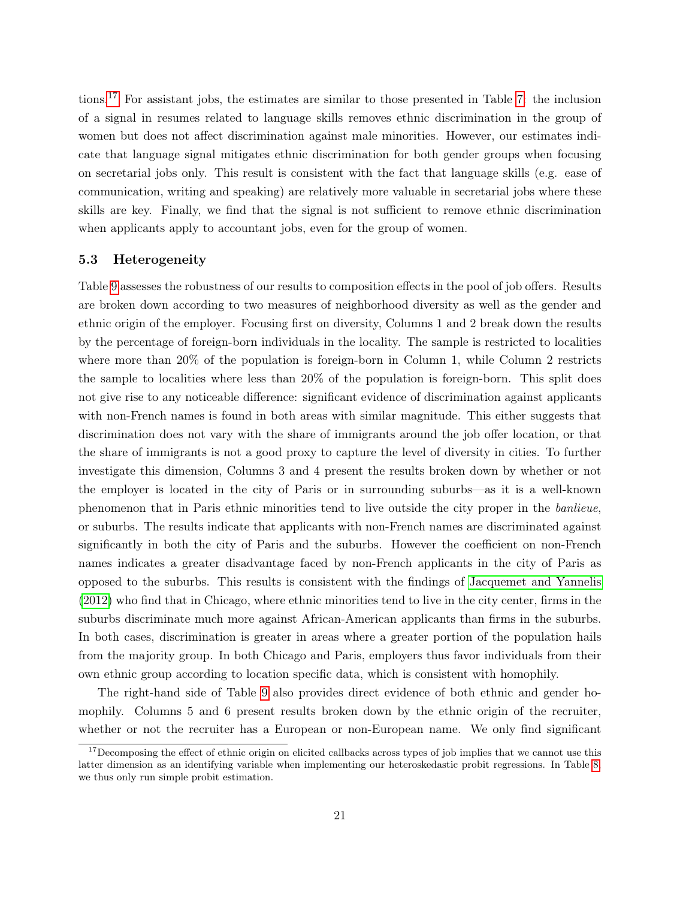tions.17 For assistant jobs, the estimates are similar to those presented in Table 7: the inclusion of a signal in resumes related to language skills removes ethnic discrimination in the group of women but does not affect discrimination against male minorities. However, our estimates indicate that language signal mitigates ethnic discrimination for both gender groups when focusing on secretarial jobs only. This result is consistent with the fact that language skills (e.g. ease of communication, writing and speaking) are relatively more valuable in secretarial jobs where these skills are key. Finally, we find that the signal is not sufficient to remove ethnic discrimination when applicants apply to accountant jobs, even for the group of women.

### 5.3 Heterogeneity

Table 9 assesses the robustness of our results to composition effects in the pool of job offers. Results are broken down according to two measures of neighborhood diversity as well as the gender and ethnic origin of the employer. Focusing first on diversity, Columns 1 and 2 break down the results by the percentage of foreign-born individuals in the locality. The sample is restricted to localities where more than 20% of the population is foreign-born in Column 1, while Column 2 restricts the sample to localities where less than 20% of the population is foreign-born. This split does not give rise to any noticeable difference: significant evidence of discrimination against applicants with non-French names is found in both areas with similar magnitude. This either suggests that discrimination does not vary with the share of immigrants around the job offer location, or that the share of immigrants is not a good proxy to capture the level of diversity in cities. To further investigate this dimension, Columns 3 and 4 present the results broken down by whether or not the employer is located in the city of Paris or in surrounding suburbs—as it is a well-known phenomenon that in Paris ethnic minorities tend to live outside the city proper in the banlieue, or suburbs. The results indicate that applicants with non-French names are discriminated against significantly in both the city of Paris and the suburbs. However the coefficient on non-French names indicates a greater disadvantage faced by non-French applicants in the city of Paris as opposed to the suburbs. This results is consistent with the findings of Jacquemet and Yannelis (2012) who find that in Chicago, where ethnic minorities tend to live in the city center, firms in the suburbs discriminate much more against African-American applicants than firms in the suburbs. In both cases, discrimination is greater in areas where a greater portion of the population hails from the majority group. In both Chicago and Paris, employers thus favor individuals from their own ethnic group according to location specific data, which is consistent with homophily.

The right-hand side of Table 9 also provides direct evidence of both ethnic and gender homophily. Columns 5 and 6 present results broken down by the ethnic origin of the recruiter, whether or not the recruiter has a European or non-European name. We only find significant

 $17$ Decomposing the effect of ethnic origin on elicited callbacks across types of job implies that we cannot use this latter dimension as an identifying variable when implementing our heteroskedastic probit regressions. In Table 8, we thus only run simple probit estimation.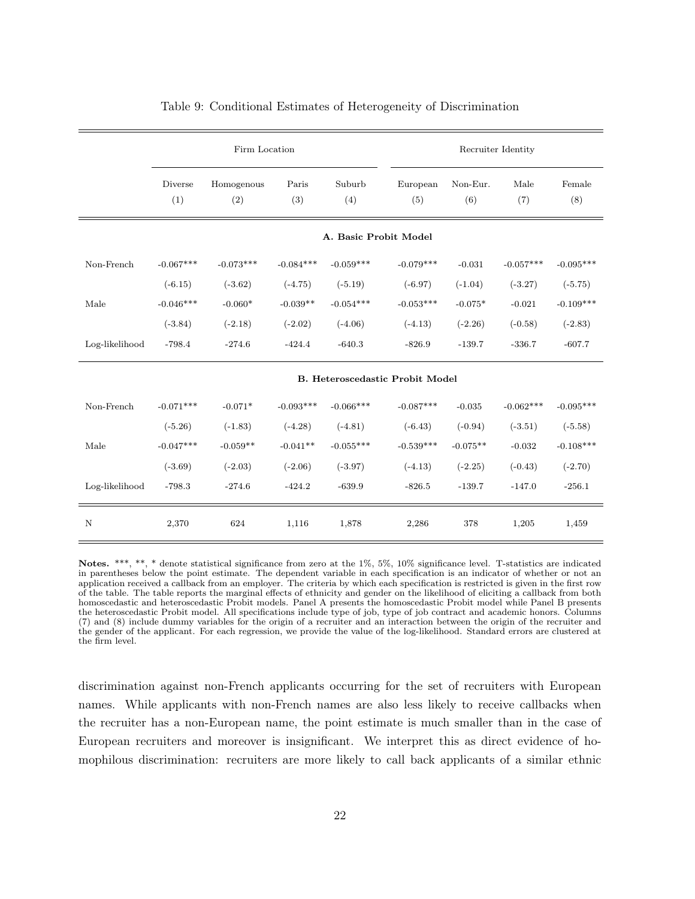|                |                       | Firm Location     |              |               | Recruiter Identity                     |                 |             |               |  |  |
|----------------|-----------------------|-------------------|--------------|---------------|----------------------------------------|-----------------|-------------|---------------|--|--|
|                | Diverse<br>(1)        | Homogenous<br>(2) | Paris<br>(3) | Suburb<br>(4) | European<br>(5)                        | Non-Eur.<br>(6) | Male<br>(7) | Female<br>(8) |  |  |
|                | A. Basic Probit Model |                   |              |               |                                        |                 |             |               |  |  |
| Non-French     | $-0.067***$           | $-0.073***$       | $-0.084***$  | $-0.059***$   | $-0.079***$                            | $-0.031$        | $-0.057***$ | $-0.095***$   |  |  |
|                | $(-6.15)$             | $(-3.62)$         | $(-4.75)$    | $(-5.19)$     | $(-6.97)$                              | $(-1.04)$       | $(-3.27)$   | $(-5.75)$     |  |  |
| Male           | $-0.046***$           | $-0.060*$         | $-0.039**$   | $-0.054***$   | $-0.053***$                            | $-0.075*$       | $-0.021$    | $-0.109***$   |  |  |
|                | $(-3.84)$             | $(-2.18)$         | $(-2.02)$    | $(-4.06)$     | $(-4.13)$                              | $(-2.26)$       | $(-0.58)$   | $(-2.83)$     |  |  |
| Log-likelihood | $-798.4$              | $-274.6$          | $-424.4$     | $-640.3$      | $-826.9$                               | $-139.7$        | $-336.7$    | $-607.7$      |  |  |
|                |                       |                   |              |               | <b>B. Heteroscedastic Probit Model</b> |                 |             |               |  |  |
| Non-French     | $-0.071***$           | $-0.071*$         | $-0.093***$  | $-0.066***$   | $-0.087***$                            | $-0.035$        | $-0.062***$ | $-0.095***$   |  |  |
|                | $(-5.26)$             | $(-1.83)$         | $(-4.28)$    | $(-4.81)$     | $(-6.43)$                              | $(-0.94)$       | $(-3.51)$   | $(-5.58)$     |  |  |
| Male           | $-0.047***$           | $-0.059**$        | $-0.041**$   | $-0.055***$   | $-0.539***$                            | $-0.075**$      | $-0.032$    | $-0.108***$   |  |  |
|                | $(-3.69)$             | $(-2.03)$         | $(-2.06)$    | $(-3.97)$     | $(-4.13)$                              | $(-2.25)$       | $(-0.43)$   | $(-2.70)$     |  |  |
| Log-likelihood | $-798.3$              | $-274.6$          | $-424.2$     | $-639.9$      | $-826.5$                               | $-139.7$        | $-147.0$    | $-256.1$      |  |  |
| N              | 2,370                 | 624               | 1,116        | 1,878         | 2,286                                  | 378             | 1,205       | 1,459         |  |  |

#### Table 9: Conditional Estimates of Heterogeneity of Discrimination

Notes. \*\*\*, \*\*, \* denote statistical significance from zero at the 1%, 5%, 10% significance level. T-statistics are indicated in parentheses below the point estimate. The dependent variable in each specification is an indicator of whether or not an application received a callback from an employer. The criteria by which each specification is restricted is given in the first row of the table. The table reports the marginal effects of ethnicity and gender on the likelihood of eliciting a callback from both homoscedastic and heteroscedastic Probit models. Panel A presents the homoscedastic Probit model while Panel B presents the heteroscedastic Probit model. All specifications include type of job, type of job contract and academic honors. Columns (7) and (8) include dummy variables for the origin of a recruiter and an interaction between the origin of the recruiter and the gender of the applicant. For each regression, we provide the value of the log-likelihood. Standard errors are clustered at the firm level.

discrimination against non-French applicants occurring for the set of recruiters with European names. While applicants with non-French names are also less likely to receive callbacks when the recruiter has a non-European name, the point estimate is much smaller than in the case of European recruiters and moreover is insignificant. We interpret this as direct evidence of homophilous discrimination: recruiters are more likely to call back applicants of a similar ethnic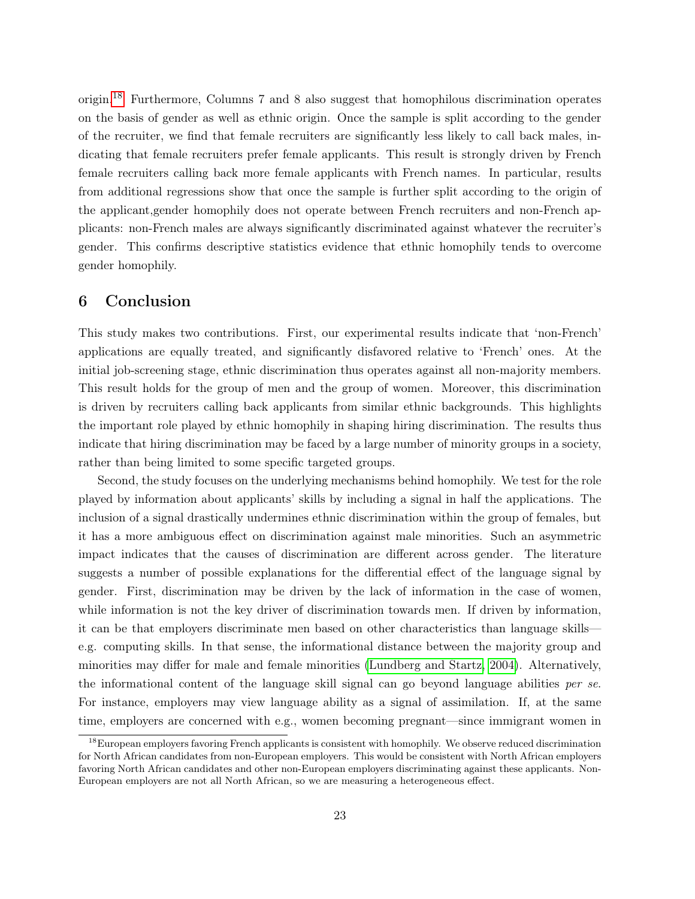origin.<sup>18</sup> Furthermore, Columns 7 and 8 also suggest that homophilous discrimination operates on the basis of gender as well as ethnic origin. Once the sample is split according to the gender of the recruiter, we find that female recruiters are significantly less likely to call back males, indicating that female recruiters prefer female applicants. This result is strongly driven by French female recruiters calling back more female applicants with French names. In particular, results from additional regressions show that once the sample is further split according to the origin of the applicant,gender homophily does not operate between French recruiters and non-French applicants: non-French males are always significantly discriminated against whatever the recruiter's gender. This confirms descriptive statistics evidence that ethnic homophily tends to overcome gender homophily.

## 6 Conclusion

This study makes two contributions. First, our experimental results indicate that 'non-French' applications are equally treated, and significantly disfavored relative to 'French' ones. At the initial job-screening stage, ethnic discrimination thus operates against all non-majority members. This result holds for the group of men and the group of women. Moreover, this discrimination is driven by recruiters calling back applicants from similar ethnic backgrounds. This highlights the important role played by ethnic homophily in shaping hiring discrimination. The results thus indicate that hiring discrimination may be faced by a large number of minority groups in a society, rather than being limited to some specific targeted groups.

Second, the study focuses on the underlying mechanisms behind homophily. We test for the role played by information about applicants' skills by including a signal in half the applications. The inclusion of a signal drastically undermines ethnic discrimination within the group of females, but it has a more ambiguous effect on discrimination against male minorities. Such an asymmetric impact indicates that the causes of discrimination are different across gender. The literature suggests a number of possible explanations for the differential effect of the language signal by gender. First, discrimination may be driven by the lack of information in the case of women, while information is not the key driver of discrimination towards men. If driven by information, it can be that employers discriminate men based on other characteristics than language skills e.g. computing skills. In that sense, the informational distance between the majority group and minorities may differ for male and female minorities (Lundberg and Startz, 2004). Alternatively, the informational content of the language skill signal can go beyond language abilities *per se*. For instance, employers may view language ability as a signal of assimilation. If, at the same time, employers are concerned with e.g., women becoming pregnant—since immigrant women in

<sup>&</sup>lt;sup>18</sup>European employers favoring French applicants is consistent with homophily. We observe reduced discrimination for North African candidates from non-European employers. This would be consistent with North African employers favoring North African candidates and other non-European employers discriminating against these applicants. Non-European employers are not all North African, so we are measuring a heterogeneous effect.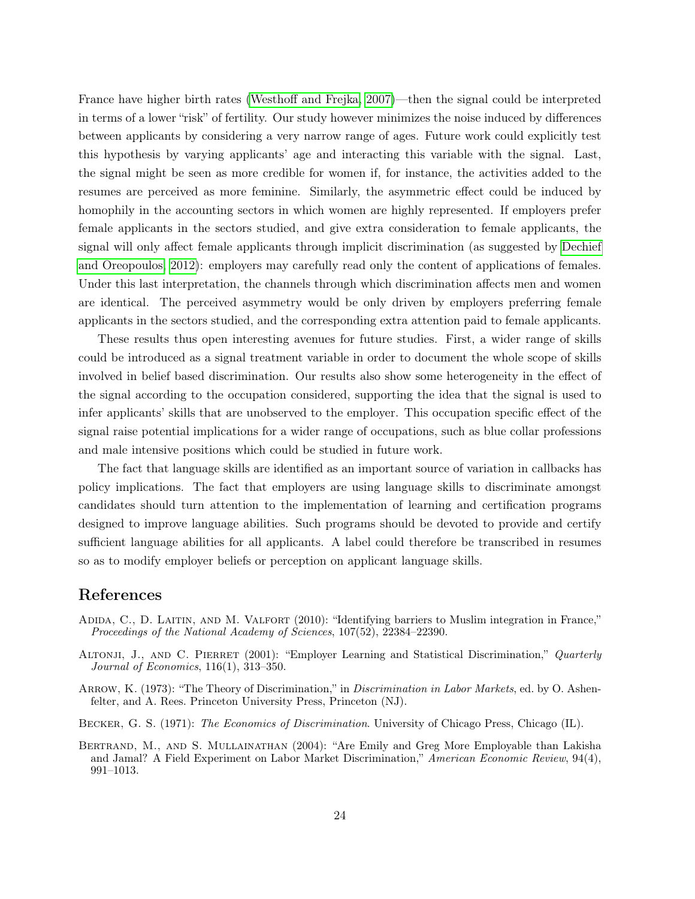France have higher birth rates (Westhoff and Frejka, 2007)—then the signal could be interpreted in terms of a lower "risk" of fertility. Our study however minimizes the noise induced by differences between applicants by considering a very narrow range of ages. Future work could explicitly test this hypothesis by varying applicants' age and interacting this variable with the signal. Last, the signal might be seen as more credible for women if, for instance, the activities added to the resumes are perceived as more feminine. Similarly, the asymmetric effect could be induced by homophily in the accounting sectors in which women are highly represented. If employers prefer female applicants in the sectors studied, and give extra consideration to female applicants, the signal will only affect female applicants through implicit discrimination (as suggested by Dechief and Oreopoulos, 2012): employers may carefully read only the content of applications of females. Under this last interpretation, the channels through which discrimination affects men and women are identical. The perceived asymmetry would be only driven by employers preferring female applicants in the sectors studied, and the corresponding extra attention paid to female applicants.

These results thus open interesting avenues for future studies. First, a wider range of skills could be introduced as a signal treatment variable in order to document the whole scope of skills involved in belief based discrimination. Our results also show some heterogeneity in the effect of the signal according to the occupation considered, supporting the idea that the signal is used to infer applicants' skills that are unobserved to the employer. This occupation specific effect of the signal raise potential implications for a wider range of occupations, such as blue collar professions and male intensive positions which could be studied in future work.

The fact that language skills are identified as an important source of variation in callbacks has policy implications. The fact that employers are using language skills to discriminate amongst candidates should turn attention to the implementation of learning and certification programs designed to improve language abilities. Such programs should be devoted to provide and certify sufficient language abilities for all applicants. A label could therefore be transcribed in resumes so as to modify employer beliefs or perception on applicant language skills.

## References

- Adida, C., D. Laitin, and M. Valfort (2010): "Identifying barriers to Muslim integration in France," Proceedings of the National Academy of Sciences, 107(52), 22384–22390.
- ALTONJI, J., AND C. PIERRET (2001): "Employer Learning and Statistical Discrimination," Quarterly Journal of Economics, 116(1), 313–350.
- ARROW, K. (1973): "The Theory of Discrimination," in *Discrimination in Labor Markets*, ed. by O. Ashenfelter, and A. Rees. Princeton University Press, Princeton (NJ).
- BECKER, G. S. (1971): The Economics of Discrimination. University of Chicago Press, Chicago (IL).
- BERTRAND, M., AND S. MULLAINATHAN (2004): "Are Emily and Greg More Employable than Lakisha and Jamal? A Field Experiment on Labor Market Discrimination," American Economic Review, 94(4), 991–1013.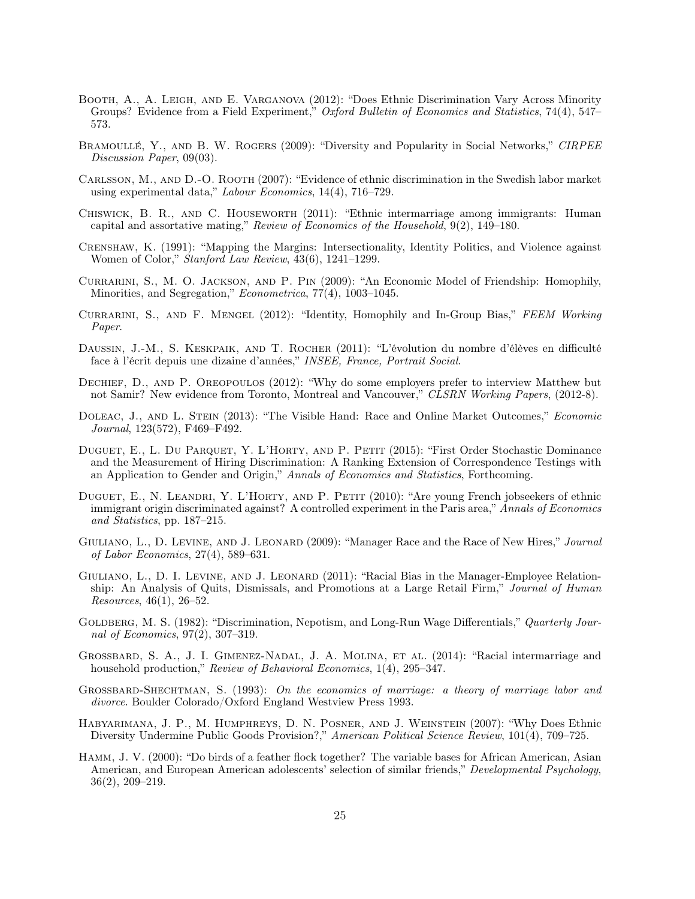- Booth, A., A. Leigh, and E. Varganova (2012): "Does Ethnic Discrimination Vary Across Minority Groups? Evidence from a Field Experiment," Oxford Bulletin of Economics and Statistics, 74(4), 547– 573.
- BRAMOULLÉ, Y., AND B. W. ROGERS (2009): "Diversity and Popularity in Social Networks," CIRPEE Discussion Paper, 09(03).
- Carlsson, M., and D.-O. Rooth (2007): "Evidence of ethnic discrimination in the Swedish labor market using experimental data," Labour Economics, 14(4), 716–729.
- Chiswick, B. R., and C. Houseworth (2011): "Ethnic intermarriage among immigrants: Human capital and assortative mating," Review of Economics of the Household, 9(2), 149–180.
- Crenshaw, K. (1991): "Mapping the Margins: Intersectionality, Identity Politics, and Violence against Women of Color," Stanford Law Review, 43(6), 1241–1299.
- Currarini, S., M. O. Jackson, and P. Pin (2009): "An Economic Model of Friendship: Homophily, Minorities, and Segregation," Econometrica, 77(4), 1003–1045.
- CURRARINI, S., AND F. MENGEL (2012): "Identity, Homophily and In-Group Bias," FEEM Working Paper.
- Daussin, J.-M., S. Keskpaik, and T. Rocher (2011): "L'évolution du nombre d'élèves en difficulté face à l'écrit depuis une dizaine d'années," INSEE, France, Portrait Social.
- DECHIEF, D., AND P. OREOPOULOS (2012): "Why do some employers prefer to interview Matthew but not Samir? New evidence from Toronto, Montreal and Vancouver," CLSRN Working Papers, (2012-8).
- DOLEAC, J., AND L. STEIN (2013): "The Visible Hand: Race and Online Market Outcomes," Economic Journal, 123(572), F469–F492.
- DUGUET, E., L. DU PARQUET, Y. L'HORTY, AND P. PETIT (2015): "First Order Stochastic Dominance and the Measurement of Hiring Discrimination: A Ranking Extension of Correspondence Testings with an Application to Gender and Origin," Annals of Economics and Statistics, Forthcoming.
- DUGUET, E., N. LEANDRI, Y. L'HORTY, AND P. PETIT (2010): "Are young French jobseekers of ethnic immigrant origin discriminated against? A controlled experiment in the Paris area," Annals of Economics and Statistics, pp. 187–215.
- GIULIANO, L., D. LEVINE, AND J. LEONARD (2009): "Manager Race and the Race of New Hires," Journal of Labor Economics, 27(4), 589–631.
- GIULIANO, L., D. I. LEVINE, AND J. LEONARD (2011): "Racial Bias in the Manager-Employee Relationship: An Analysis of Quits, Dismissals, and Promotions at a Large Retail Firm," Journal of Human Resources, 46(1), 26–52.
- GOLDBERG, M. S. (1982): "Discrimination, Nepotism, and Long-Run Wage Differentials," Quarterly Journal of Economics, 97(2), 307–319.
- Grossbard, S. A., J. I. Gimenez-Nadal, J. A. Molina, et al. (2014): "Racial intermarriage and household production," Review of Behavioral Economics, 1(4), 295-347.
- GROSSBARD-SHECHTMAN, S. (1993): On the economics of marriage: a theory of marriage labor and divorce. Boulder Colorado/Oxford England Westview Press 1993.
- Habyarimana, J. P., M. Humphreys, D. N. Posner, and J. Weinstein (2007): "Why Does Ethnic Diversity Undermine Public Goods Provision?," American Political Science Review, 101(4), 709–725.
- Hamm, J. V. (2000): "Do birds of a feather flock together? The variable bases for African American, Asian American, and European American adolescents' selection of similar friends," Developmental Psychology, 36(2), 209–219.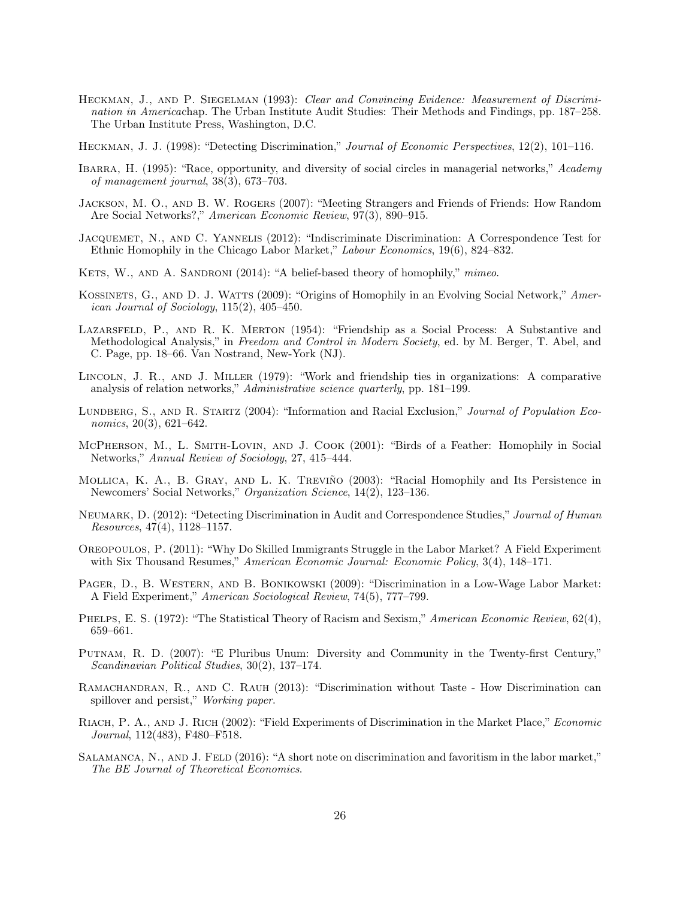HECKMAN, J., AND P. SIEGELMAN (1993): Clear and Convincing Evidence: Measurement of Discrimination in Americachap. The Urban Institute Audit Studies: Their Methods and Findings, pp. 187–258. The Urban Institute Press, Washington, D.C.

HECKMAN, J. J. (1998): "Detecting Discrimination," *Journal of Economic Perspectives*, 12(2), 101–116.

- IBARRA, H. (1995): "Race, opportunity, and diversity of social circles in managerial networks," Academy of management journal, 38(3), 673–703.
- Jackson, M. O., and B. W. Rogers (2007): "Meeting Strangers and Friends of Friends: How Random Are Social Networks?," American Economic Review, 97(3), 890–915.
- Jacquemet, N., and C. Yannelis (2012): "Indiscriminate Discrimination: A Correspondence Test for Ethnic Homophily in the Chicago Labor Market," Labour Economics, 19(6), 824–832.
- KETS, W., AND A. SANDRONI (2014): "A belief-based theory of homophily," mimeo.
- KOSSINETS, G., AND D. J. WATTS (2009): "Origins of Homophily in an Evolving Social Network," American Journal of Sociology,  $115(2)$ ,  $405-450$ .
- LAZARSFELD, P., AND R. K. MERTON (1954): "Friendship as a Social Process: A Substantive and Methodological Analysis," in Freedom and Control in Modern Society, ed. by M. Berger, T. Abel, and C. Page, pp. 18–66. Van Nostrand, New-York (NJ).
- Lincoln, J. R., and J. Miller (1979): "Work and friendship ties in organizations: A comparative analysis of relation networks," Administrative science quarterly, pp. 181–199.
- LUNDBERG, S., AND R. STARTZ (2004): "Information and Racial Exclusion," Journal of Population Economics, 20(3), 621–642.
- McPherson, M., L. Smith-Lovin, and J. Cook (2001): "Birds of a Feather: Homophily in Social Networks," Annual Review of Sociology, 27, 415–444.
- Mollica, K. A., B. Gray, and L. K. Treviño (2003): "Racial Homophily and Its Persistence in Newcomers' Social Networks," Organization Science, 14(2), 123–136.
- Neumark, D. (2012): "Detecting Discrimination in Audit and Correspondence Studies," Journal of Human Resources, 47(4), 1128–1157.
- Oreopoulos, P. (2011): "Why Do Skilled Immigrants Struggle in the Labor Market? A Field Experiment with Six Thousand Resumes," American Economic Journal: Economic Policy, 3(4), 148–171.
- PAGER, D., B. WESTERN, AND B. BONIKOWSKI (2009): "Discrimination in a Low-Wage Labor Market: A Field Experiment," American Sociological Review, 74(5), 777–799.
- PHELPS, E. S. (1972): "The Statistical Theory of Racism and Sexism," American Economic Review, 62(4), 659–661.
- Putnam, R. D. (2007): "E Pluribus Unum: Diversity and Community in the Twenty-first Century," Scandinavian Political Studies, 30(2), 137–174.
- RAMACHANDRAN, R., AND C. RAUH (2013): "Discrimination without Taste How Discrimination can spillover and persist," Working paper.
- RIACH, P. A., AND J. RICH (2002): "Field Experiments of Discrimination in the Market Place," Economic Journal, 112(483), F480–F518.
- Salamanca, N., and J. Feld (2016): "A short note on discrimination and favoritism in the labor market," The BE Journal of Theoretical Economics.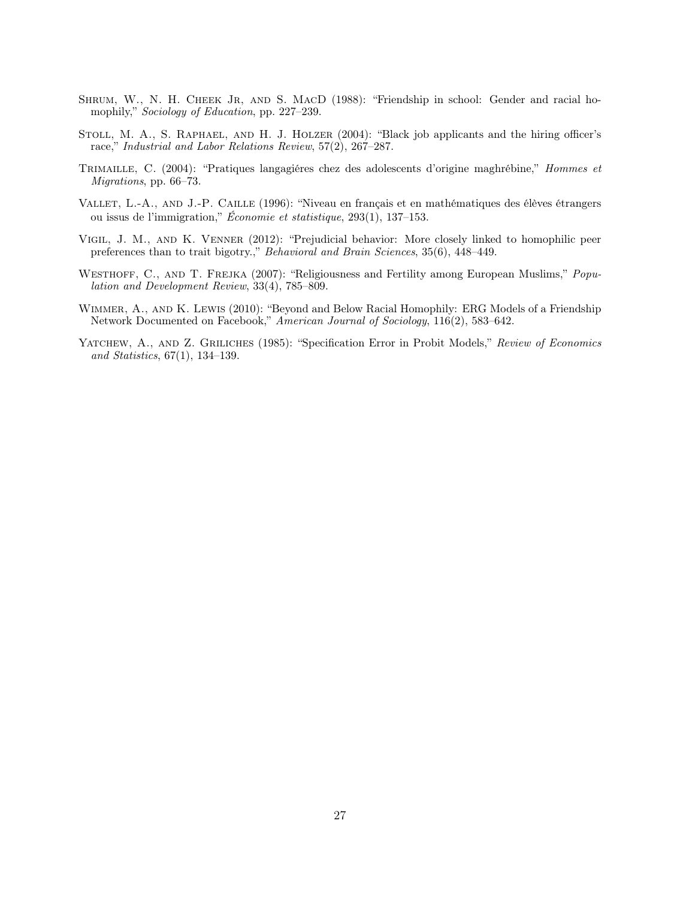- SHRUM, W., N. H. CHEEK JR, AND S. MACD (1988): "Friendship in school: Gender and racial homophily," Sociology of Education, pp. 227–239.
- STOLL, M. A., S. RAPHAEL, AND H. J. HOLZER (2004): "Black job applicants and the hiring officer's race," Industrial and Labor Relations Review, 57(2), 267–287.
- Trimaille, C. (2004): "Pratiques langagiéres chez des adolescents d'origine maghrébine," Hommes et Migrations, pp. 66–73.
- Vallet, L.-A., and J.-P. Caille (1996): "Niveau en français et en mathématiques des élèves étrangers ou issus de l'immigration," Économie et statistique, 293(1), 137–153.
- Vigil, J. M., and K. Venner (2012): "Prejudicial behavior: More closely linked to homophilic peer preferences than to trait bigotry.," Behavioral and Brain Sciences, 35(6), 448–449.
- WESTHOFF, C., AND T. FREJKA (2007): "Religiousness and Fertility among European Muslims," Population and Development Review, 33(4), 785–809.
- WIMMER, A., AND K. LEWIS (2010): "Beyond and Below Racial Homophily: ERG Models of a Friendship Network Documented on Facebook," American Journal of Sociology, 116(2), 583–642.
- YATCHEW, A., AND Z. GRILICHES (1985): "Specification Error in Probit Models," Review of Economics and Statistics, 67(1), 134–139.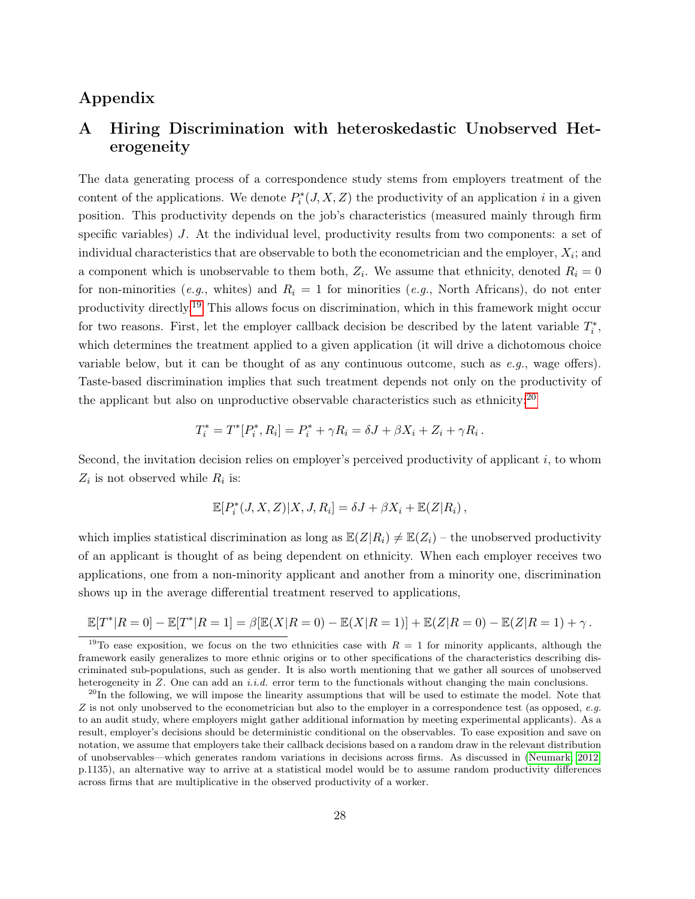## Appendix

## A Hiring Discrimination with heteroskedastic Unobserved Heterogeneity

The data generating process of a correspondence study stems from employers treatment of the content of the applications. We denote  $P_i^*(J, X, Z)$  the productivity of an application i in a given position. This productivity depends on the job's characteristics (measured mainly through firm specific variables) J. At the individual level, productivity results from two components: a set of individual characteristics that are observable to both the econometrician and the employer,  $X_i$ ; and a component which is unobservable to them both,  $Z_i$ . We assume that ethnicity, denoted  $R_i = 0$ for non-minorities (e.g., whites) and  $R_i = 1$  for minorities (e.g., North Africans), do not enter productivity directly.19 This allows focus on discrimination, which in this framework might occur for two reasons. First, let the employer callback decision be described by the latent variable  $T_i^*$ , which determines the treatment applied to a given application (it will drive a dichotomous choice variable below, but it can be thought of as any continuous outcome, such as  $e.q.$ , wage offers). Taste-based discrimination implies that such treatment depends not only on the productivity of the applicant but also on unproductive observable characteristics such as ethnicity:<sup>20</sup>

$$
T_i^* = T^*[P_i^*, R_i] = P_i^* + \gamma R_i = \delta J + \beta X_i + Z_i + \gamma R_i.
$$

Second, the invitation decision relies on employer's perceived productivity of applicant  $i$ , to whom  $Z_i$  is not observed while  $R_i$  is:

$$
\mathbb{E}[P_i^*(J, X, Z)|X, J, R_i] = \delta J + \beta X_i + \mathbb{E}(Z|R_i),
$$

which implies statistical discrimination as long as  $\mathbb{E}(Z|R_i) \neq \mathbb{E}(Z_i)$  – the unobserved productivity of an applicant is thought of as being dependent on ethnicity. When each employer receives two applications, one from a non-minority applicant and another from a minority one, discrimination shows up in the average differential treatment reserved to applications,

$$
\mathbb{E}[T^*|R=0] - \mathbb{E}[T^*|R=1] = \beta[\mathbb{E}(X|R=0) - \mathbb{E}(X|R=1)] + \mathbb{E}(Z|R=0) - \mathbb{E}(Z|R=1) + \gamma.
$$

<sup>&</sup>lt;sup>19</sup>To ease exposition, we focus on the two ethnicities case with  $R = 1$  for minority applicants, although the framework easily generalizes to more ethnic origins or to other specifications of the characteristics describing discriminated sub-populations, such as gender. It is also worth mentioning that we gather all sources of unobserved heterogeneity in  $Z$ . One can add an *i.i.d.* error term to the functionals without changing the main conclusions.

<sup>&</sup>lt;sup>20</sup>In the following, we will impose the linearity assumptions that will be used to estimate the model. Note that  $Z$  is not only unobserved to the econometrician but also to the employer in a correspondence test (as opposed, e.g. to an audit study, where employers might gather additional information by meeting experimental applicants). As a result, employer's decisions should be deterministic conditional on the observables. To ease exposition and save on notation, we assume that employers take their callback decisions based on a random draw in the relevant distribution of unobservables—which generates random variations in decisions across firms. As discussed in (Neumark, 2012, p.1135), an alternative way to arrive at a statistical model would be to assume random productivity differences across firms that are multiplicative in the observed productivity of a worker.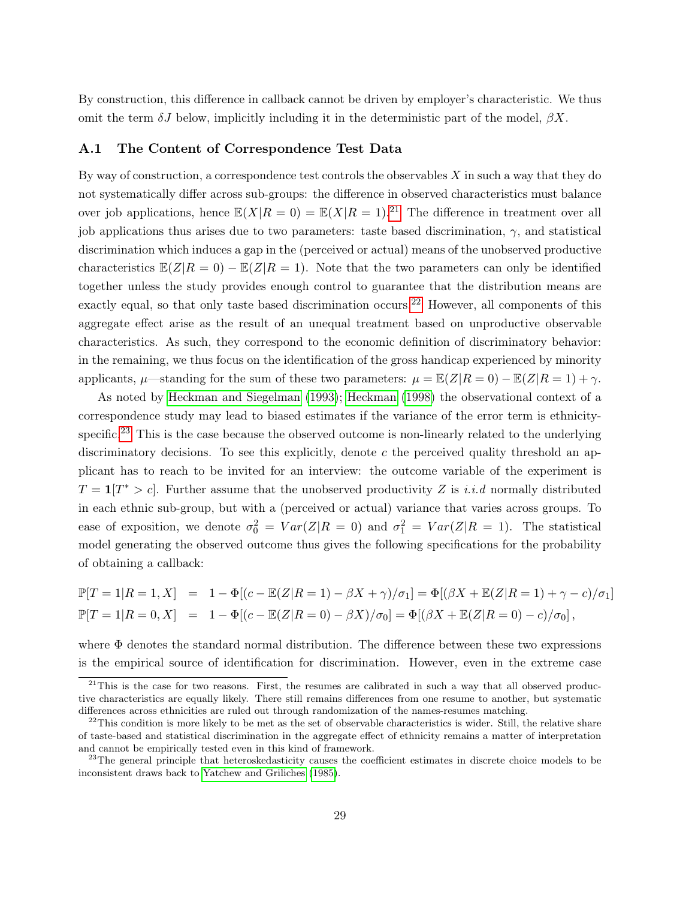By construction, this difference in callback cannot be driven by employer's characteristic. We thus omit the term  $\delta J$  below, implicitly including it in the deterministic part of the model,  $\beta X$ .

### A.1 The Content of Correspondence Test Data

By way of construction, a correspondence test controls the observables  $X$  in such a way that they do not systematically differ across sub-groups: the difference in observed characteristics must balance over job applications, hence  $\mathbb{E}(X|R=0) = \mathbb{E}(X|R=1).^{21}$  The difference in treatment over all job applications thus arises due to two parameters: taste based discrimination,  $\gamma$ , and statistical discrimination which induces a gap in the (perceived or actual) means of the unobserved productive characteristics  $\mathbb{E}(Z|R=0) - \mathbb{E}(Z|R=1)$ . Note that the two parameters can only be identified together unless the study provides enough control to guarantee that the distribution means are exactly equal, so that only taste based discrimination occurs.<sup>22</sup> However, all components of this aggregate effect arise as the result of an unequal treatment based on unproductive observable characteristics. As such, they correspond to the economic definition of discriminatory behavior: in the remaining, we thus focus on the identification of the gross handicap experienced by minority applicants,  $\mu$ —standing for the sum of these two parameters:  $\mu = \mathbb{E}(Z|R=0) - \mathbb{E}(Z|R=1) + \gamma$ .

As noted by Heckman and Siegelman (1993); Heckman (1998) the observational context of a correspondence study may lead to biased estimates if the variance of the error term is ethnicityspecific.<sup>23</sup> This is the case because the observed outcome is non-linearly related to the underlying discriminatory decisions. To see this explicitly, denote  $c$  the perceived quality threshold an applicant has to reach to be invited for an interview: the outcome variable of the experiment is  $T = \mathbf{1}[T^* > c]$ . Further assume that the unobserved productivity Z is *i.i.d* normally distributed in each ethnic sub-group, but with a (perceived or actual) variance that varies across groups. To ease of exposition, we denote  $\sigma_0^2 = Var(Z|R = 0)$  and  $\sigma_1^2 = Var(Z|R = 1)$ . The statistical model generating the observed outcome thus gives the following specifications for the probability of obtaining a callback:

$$
\mathbb{P}[T=1|R=1,X] = 1 - \Phi[(c - \mathbb{E}(Z|R=1) - \beta X + \gamma)/\sigma_1] = \Phi[(\beta X + \mathbb{E}(Z|R=1) + \gamma - c)/\sigma_1]
$$
  

$$
\mathbb{P}[T=1|R=0,X] = 1 - \Phi[(c - \mathbb{E}(Z|R=0) - \beta X)/\sigma_0] = \Phi[(\beta X + \mathbb{E}(Z|R=0) - c)/\sigma_0],
$$

where  $\Phi$  denotes the standard normal distribution. The difference between these two expressions is the empirical source of identification for discrimination. However, even in the extreme case

 $21$ This is the case for two reasons. First, the resumes are calibrated in such a way that all observed productive characteristics are equally likely. There still remains differences from one resume to another, but systematic differences across ethnicities are ruled out through randomization of the names-resumes matching.

 $22$ This condition is more likely to be met as the set of observable characteristics is wider. Still, the relative share of taste-based and statistical discrimination in the aggregate effect of ethnicity remains a matter of interpretation and cannot be empirically tested even in this kind of framework.

<sup>&</sup>lt;sup>23</sup>The general principle that heteroskedasticity causes the coefficient estimates in discrete choice models to be inconsistent draws back to Yatchew and Griliches (1985).